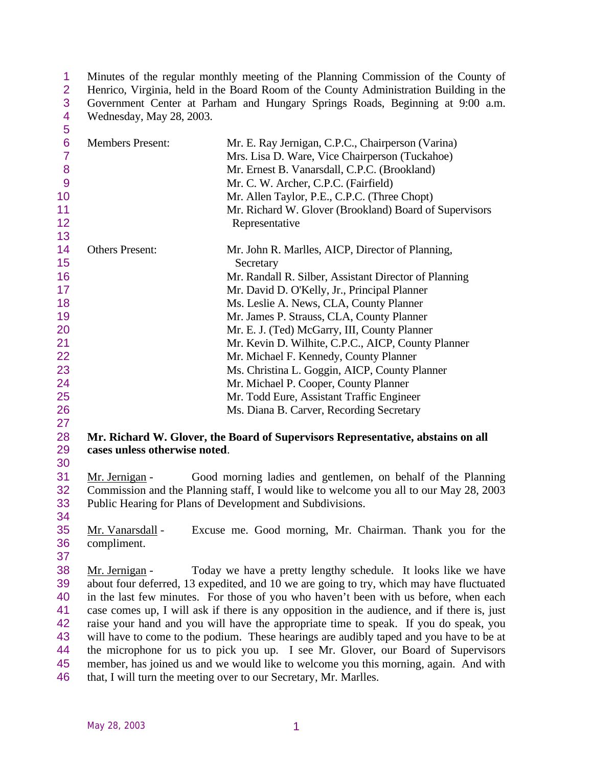1 Minutes of the regular monthly meeting of the Planning Commission of the County of Henrico, Virginia, held in the Board Room of the County Administration Building in the 2 Henrico, Virginia, held in the Board Room of the County Administration Building in the Government Center at Parham and Hungary Springs Roads, Beginning at 9:00 a.m. 3 Government Center at Parham and Hungary Springs Roads, Beginning at 9:00 a.m.<br>4 Wednesday, May 28, 2003. Wednesday, May 28, 2003.  $\overline{5}$ 

| ◡                   |                               |                                                                                                     |
|---------------------|-------------------------------|-----------------------------------------------------------------------------------------------------|
| 6<br>$\overline{7}$ | <b>Members Present:</b>       | Mr. E. Ray Jernigan, C.P.C., Chairperson (Varina)<br>Mrs. Lisa D. Ware, Vice Chairperson (Tuckahoe) |
| 8                   |                               | Mr. Ernest B. Vanarsdall, C.P.C. (Brookland)                                                        |
| 9                   |                               | Mr. C. W. Archer, C.P.C. (Fairfield)                                                                |
| 10                  |                               | Mr. Allen Taylor, P.E., C.P.C. (Three Chopt)                                                        |
| 11                  |                               | Mr. Richard W. Glover (Brookland) Board of Supervisors                                              |
| 12                  |                               | Representative                                                                                      |
| 13                  |                               |                                                                                                     |
| 14<br>15            | <b>Others Present:</b>        | Mr. John R. Marlles, AICP, Director of Planning,<br>Secretary                                       |
| 16                  |                               | Mr. Randall R. Silber, Assistant Director of Planning                                               |
| 17                  |                               | Mr. David D. O'Kelly, Jr., Principal Planner                                                        |
| 18                  |                               | Ms. Leslie A. News, CLA, County Planner                                                             |
| 19                  |                               | Mr. James P. Strauss, CLA, County Planner                                                           |
| 20                  |                               | Mr. E. J. (Ted) McGarry, III, County Planner                                                        |
| 21                  |                               | Mr. Kevin D. Wilhite, C.P.C., AICP, County Planner                                                  |
| 22                  |                               | Mr. Michael F. Kennedy, County Planner                                                              |
| 23                  |                               | Ms. Christina L. Goggin, AICP, County Planner                                                       |
| 24                  |                               | Mr. Michael P. Cooper, County Planner                                                               |
| 25                  |                               | Mr. Todd Eure, Assistant Traffic Engineer                                                           |
| 26                  |                               | Ms. Diana B. Carver, Recording Secretary                                                            |
| 27                  |                               |                                                                                                     |
| 28                  |                               | Mr. Richard W. Glover, the Board of Supervisors Representative, abstains on all                     |
| 29                  | cases unless otherwise noted. |                                                                                                     |
| 30                  |                               |                                                                                                     |
| 31                  | Mr. Jernigan -                | Good morning ladies and gentlemen, on behalf of the Planning                                        |
| 32                  |                               | Commission and the Planning staff, I would like to welcome you all to our May 28, 2003              |
| 33                  |                               | Public Hearing for Plans of Development and Subdivisions.                                           |
| 34                  |                               |                                                                                                     |
| 35                  | Mr. Vanarsdall -              | Excuse me. Good morning, Mr. Chairman. Thank you for the                                            |
| 36                  | compliment.                   |                                                                                                     |
| 37                  |                               |                                                                                                     |
| 38                  | Mr. Jernigan -                | Today we have a pretty lengthy schedule. It looks like we have                                      |
| 39                  |                               | about four deferred, 13 expedited, and 10 we are going to try, which may have fluctuated            |
| 40                  |                               | in the last few minutes. For those of you who haven't been with us before, when each                |
| 41                  |                               | case comes up, I will ask if there is any opposition in the audience, and if there is, just         |
| 42                  |                               | raise your hand and you will have the appropriate time to speak. If you do speak, you               |
| 43                  |                               | will have to come to the podium. These hearings are audibly taped and you have to be at             |
| 44                  |                               | the microphone for us to pick you up. I see Mr. Glover, our Board of Supervisors                    |
| 45                  |                               | member, has joined us and we would like to welcome you this morning, again. And with                |
| 46                  |                               | that, I will turn the meeting over to our Secretary, Mr. Marlles.                                   |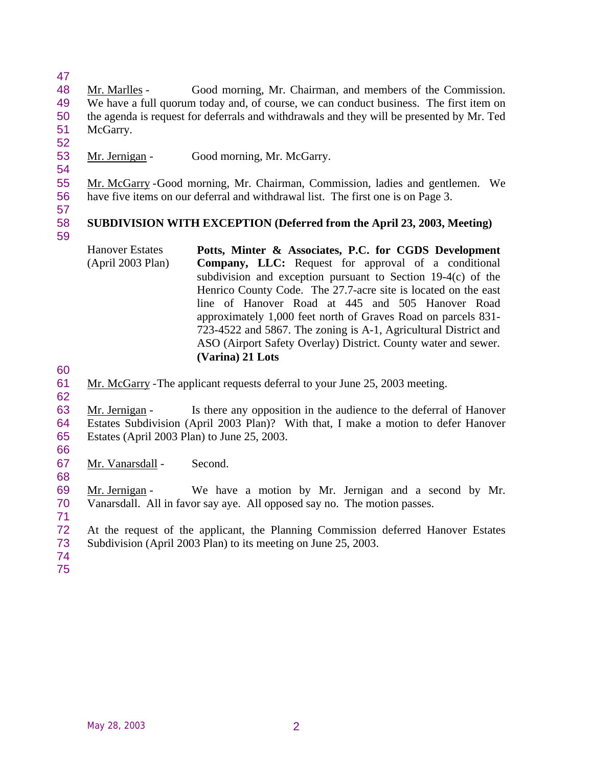Mr. Marlles - Good morning, Mr. Chairman, and members of the Commission. We have a full quorum today and, of course, we can conduct business. The first item on the agenda is request for deferrals and withdrawals and they will be presented by Mr. Ted McGarry.

Mr. Jernigan - Good morning, Mr. McGarry.

 Mr. McGarry -Good morning, Mr. Chairman, Commission, ladies and gentlemen. We have five items on our deferral and withdrawal list. The first one is on Page 3.

#### **SUBDIVISION WITH EXCEPTION (Deferred from the April 23, 2003, Meeting)**

- Hanover Estates (April 2003 Plan) **Potts, Minter & Associates, P.C. for CGDS Development Company, LLC:** Request for approval of a conditional subdivision and exception pursuant to Section 19-4(c) of the Henrico County Code. The 27.7-acre site is located on the east line of Hanover Road at 445 and 505 Hanover Road approximately 1,000 feet north of Graves Road on parcels 831- 723-4522 and 5867. The zoning is A-1, Agricultural District and ASO (Airport Safety Overlay) District. County water and sewer. **(Varina) 21 Lots**
- 
- Mr. McGarry -The applicant requests deferral to your June 25, 2003 meeting.

 Mr. Jernigan - Is there any opposition in the audience to the deferral of Hanover Estates Subdivision (April 2003 Plan)? With that, I make a motion to defer Hanover Estates (April 2003 Plan) to June 25, 2003.

Mr. Vanarsdall - Second.

 Mr. Jernigan - We have a motion by Mr. Jernigan and a second by Mr. Vanarsdall. All in favor say aye. All opposed say no. The motion passes.

 At the request of the applicant, the Planning Commission deferred Hanover Estates Subdivision (April 2003 Plan) to its meeting on June 25, 2003.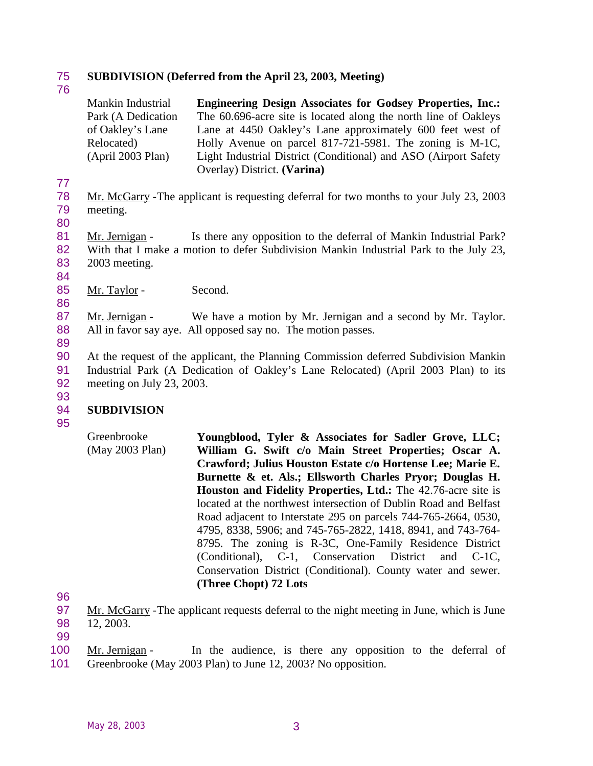### 75 **SUBDIVISION (Deferred from the April 23, 2003, Meeting)**

76

| Mankin Industrial  | <b>Engineering Design Associates for Godsey Properties, Inc.:</b> |
|--------------------|-------------------------------------------------------------------|
| Park (A Dedication | The 60.696-acre site is located along the north line of Oakleys   |
| of Oakley's Lane   | Lane at 4450 Oakley's Lane approximately 600 feet west of         |
| Relocated)         | Holly Avenue on parcel 817-721-5981. The zoning is M-1C,          |
| (April 2003 Plan)  | Light Industrial District (Conditional) and ASO (Airport Safety   |
|                    | Overlay) District. (Varina)                                       |

78 Mr. McGarry -The applicant is requesting deferral for two months to your July 23, 2003 79 meeting.

80

77

81 Mr. Jernigan - Is there any opposition to the deferral of Mankin Industrial Park? 82 With that I make a motion to defer Subdivision Mankin Industrial Park to the July 23, 83 2003 meeting.

84 85 Mr. Taylor - Second.

87 Mr. Jernigan - We have a motion by Mr. Jernigan and a second by Mr. Taylor. 88 All in favor say aye. All opposed say no. The motion passes.

89

86

90 At the request of the applicant, the Planning Commission deferred Subdivision Mankin 91 Industrial Park (A Dedication of Oakley's Lane Relocated) (April 2003 Plan) to its 92 meeting on July 23, 2003.

- 93 94 **SUBDIVISION**
- 95

96

99

100 Mr. Jernigan - In the audience, is there any opposition to the deferral of 101 Greenbrooke (May 2003 Plan) to June 12, 2003? No opposition.

Greenbrooke (May 2003 Plan) **Youngblood, Tyler & Associates for Sadler Grove, LLC; William G. Swift c/o Main Street Properties; Oscar A. Crawford; Julius Houston Estate c/o Hortense Lee; Marie E. Burnette & et. Als.; Ellsworth Charles Pryor; Douglas H. Houston and Fidelity Properties, Ltd.:** The 42.76-acre site is located at the northwest intersection of Dublin Road and Belfast Road adjacent to Interstate 295 on parcels 744-765-2664, 0530, 4795, 8338, 5906; and 745-765-2822, 1418, 8941, and 743-764- 8795. The zoning is R-3C, One-Family Residence District (Conditional), C-1, Conservation District and C-1C, Conservation District (Conditional). County water and sewer. **(Three Chopt) 72 Lots**

<sup>97</sup> Mr. McGarry -The applicant requests deferral to the night meeting in June, which is June 98 12, 2003.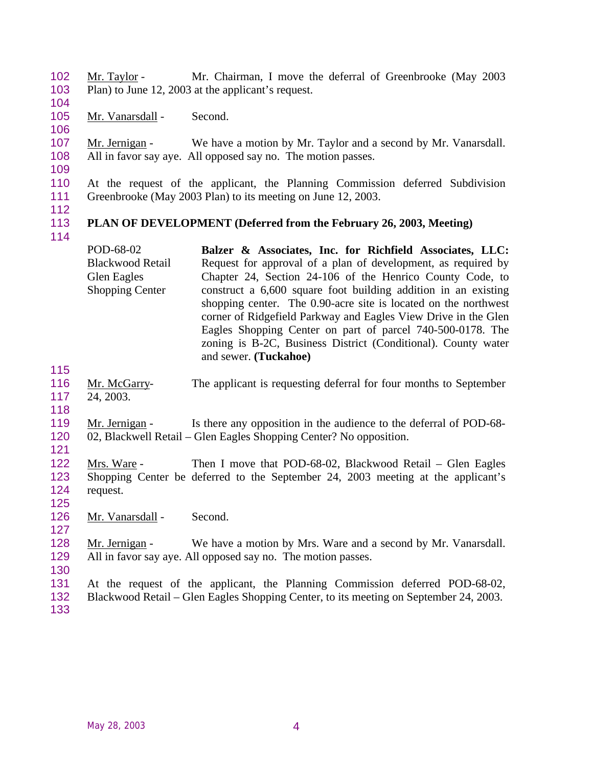Mr. Taylor - Mr. Chairman, I move the deferral of Greenbrooke (May 2003 Plan) to June 12, 2003 at the applicant's request.

- 105 Mr. Vanarsdall Second.
- 

107 Mr. Jernigan - We have a motion by Mr. Taylor and a second by Mr. Vanarsdall. All in favor say aye. All opposed say no. The motion passes.

 At the request of the applicant, the Planning Commission deferred Subdivision Greenbrooke (May 2003 Plan) to its meeting on June 12, 2003.

### **PLAN OF DEVELOPMENT (Deferred from the February 26, 2003, Meeting)**

- POD-68-02 Blackwood Retail Glen Eagles Shopping Center **Balzer & Associates, Inc. for Richfield Associates, LLC:** Request for approval of a plan of development, as required by Chapter 24, Section 24-106 of the Henrico County Code, to construct a 6,600 square foot building addition in an existing shopping center. The 0.90-acre site is located on the northwest corner of Ridgefield Parkway and Eagles View Drive in the Glen Eagles Shopping Center on part of parcel 740-500-0178. The zoning is B-2C, Business District (Conditional). County water and sewer. **(Tuckahoe)**
- 
- Mr. McGarry- The applicant is requesting deferral for four months to September 24, 2003.
- 
- 119 Mr. Jernigan Is there any opposition in the audience to the deferral of POD-68-02, Blackwell Retail – Glen Eagles Shopping Center? No opposition.
- 

- Mrs. Ware Then I move that POD-68-02, Blackwood Retail Glen Eagles Shopping Center be deferred to the September 24, 2003 meeting at the applicant's request.
- 126 Mr. Vanarsdall Second.
- Mr. Jernigan We have a motion by Mrs. Ware and a second by Mr. Vanarsdall. All in favor say aye. All opposed say no. The motion passes.
- At the request of the applicant, the Planning Commission deferred POD-68-02, Blackwood Retail – Glen Eagles Shopping Center, to its meeting on September 24, 2003.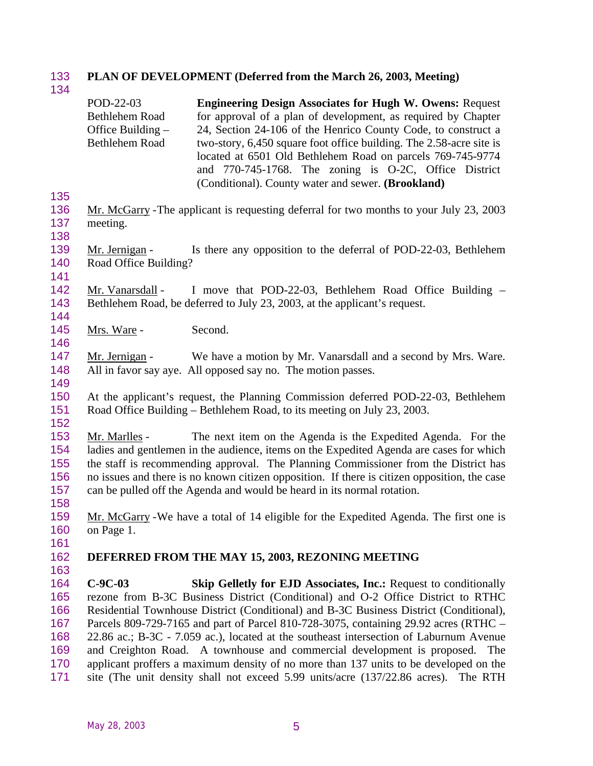### **PLAN OF DEVELOPMENT (Deferred from the March 26, 2003, Meeting)**

POD-22-03 Bethlehem Road Office Building – Bethlehem Road **Engineering Design Associates for Hugh W. Owens:** Request for approval of a plan of development, as required by Chapter 24, Section 24-106 of the Henrico County Code, to construct a two-story, 6,450 square foot office building. The 2.58-acre site is located at 6501 Old Bethlehem Road on parcels 769-745-9774 and 770-745-1768. The zoning is O-2C, Office District (Conditional). County water and sewer. **(Brookland)**

- Mr. McGarry -The applicant is requesting deferral for two months to your July 23, 2003 meeting.
- 139 Mr. Jernigan Is there any opposition to the deferral of POD-22-03, Bethlehem Road Office Building?
- Mr. Vanarsdall I move that POD-22-03, Bethlehem Road Office Building Bethlehem Road, be deferred to July 23, 2003, at the applicant's request.
- 145 Mrs. Ware Second.
- 147 Mr. Jernigan We have a motion by Mr. Vanarsdall and a second by Mrs. Ware. All in favor say aye. All opposed say no. The motion passes.
- 
- At the applicant's request, the Planning Commission deferred POD-22-03, Bethlehem Road Office Building – Bethlehem Road, to its meeting on July 23, 2003.
- 
- Mr. Marlles The next item on the Agenda is the Expedited Agenda. For the ladies and gentlemen in the audience, items on the Expedited Agenda are cases for which the staff is recommending approval. The Planning Commissioner from the District has no issues and there is no known citizen opposition. If there is citizen opposition, the case can be pulled off the Agenda and would be heard in its normal rotation.
- Mr. McGarry -We have a total of 14 eligible for the Expedited Agenda. The first one is on Page 1.
- 

#### **DEFERRED FROM THE MAY 15, 2003, REZONING MEETING**

 **C-9C-03 Skip Gelletly for EJD Associates, Inc.:** Request to conditionally rezone from B-3C Business District (Conditional) and O-2 Office District to RTHC Residential Townhouse District (Conditional) and B-3C Business District (Conditional), Parcels 809-729-7165 and part of Parcel 810-728-3075, containing 29.92 acres (RTHC – 22.86 ac.; B-3C - 7.059 ac.), located at the southeast intersection of Laburnum Avenue and Creighton Road. A townhouse and commercial development is proposed. The applicant proffers a maximum density of no more than 137 units to be developed on the site (The unit density shall not exceed 5.99 units/acre (137/22.86 acres). The RTH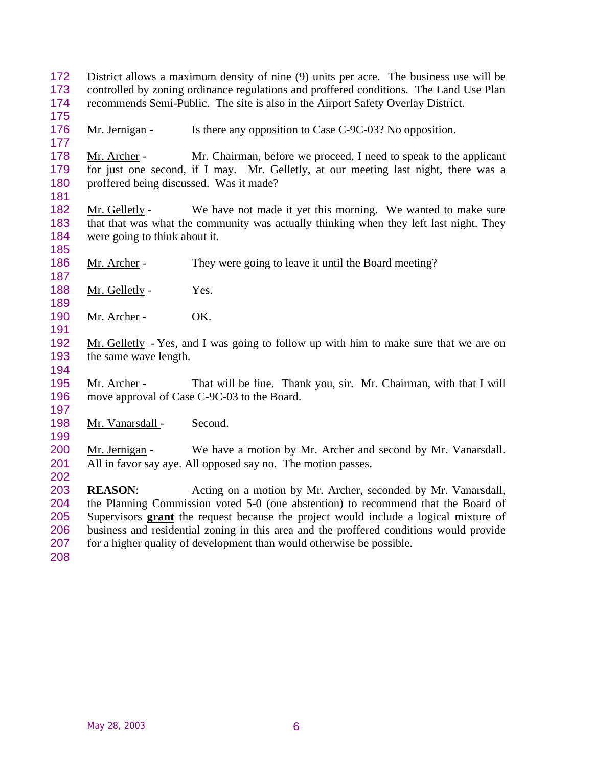- District allows a maximum density of nine (9) units per acre. The business use will be controlled by zoning ordinance regulations and proffered conditions. The Land Use Plan recommends Semi-Public. The site is also in the Airport Safety Overlay District.
- 176 Mr. Jernigan Is there any opposition to Case C-9C-03? No opposition.

 Mr. Archer - Mr. Chairman, before we proceed, I need to speak to the applicant for just one second, if I may. Mr. Gelletly, at our meeting last night, there was a proffered being discussed. Was it made?

182 Mr. Gelletly - We have not made it yet this morning. We wanted to make sure that that was what the community was actually thinking when they left last night. They were going to think about it.

- 186 Mr. Archer They were going to leave it until the Board meeting?
- 188 Mr. Gelletly Yes.
- 190 Mr. Archer OK.
- Mr. Gelletly Yes, and I was going to follow up with him to make sure that we are on the same wave length.
- 

 Mr. Archer - That will be fine. Thank you, sir. Mr. Chairman, with that I will move approval of Case C-9C-03 to the Board.

- 198 Mr. Vanarsdall Second.
- 200 Mr. Jernigan We have a motion by Mr. Archer and second by Mr. Vanarsdall. All in favor say aye. All opposed say no. The motion passes.

 **REASON**: Acting on a motion by Mr. Archer, seconded by Mr. Vanarsdall, the Planning Commission voted 5-0 (one abstention) to recommend that the Board of Supervisors **grant** the request because the project would include a logical mixture of business and residential zoning in this area and the proffered conditions would provide for a higher quality of development than would otherwise be possible.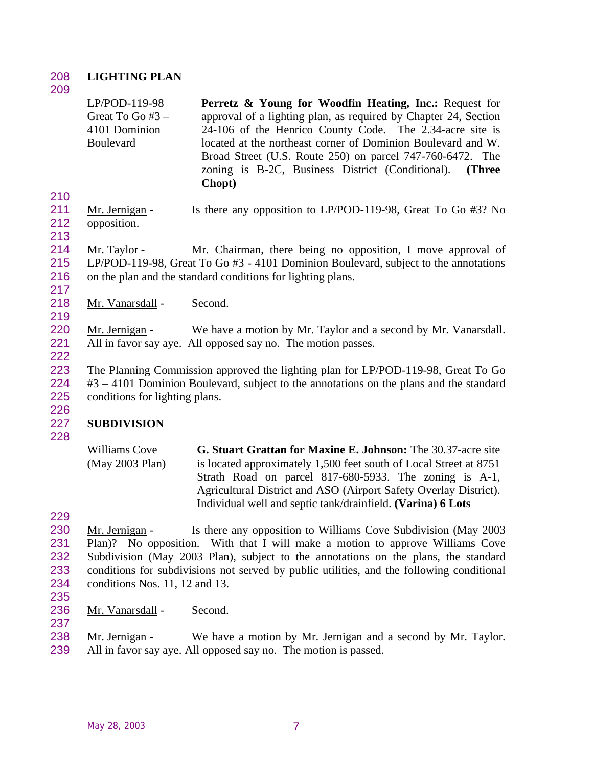## 208 **LIGHTING PLAN**

209

LP/POD-119-98 Great To Go #3 – 4101 Dominion Boulevard **Perretz & Young for Woodfin Heating, Inc.:** Request for approval of a lighting plan, as required by Chapter 24, Section 24-106 of the Henrico County Code. The 2.34-acre site is located at the northeast corner of Dominion Boulevard and W. Broad Street (U.S. Route 250) on parcel 747-760-6472. The zoning is B-2C, Business District (Conditional). **(Three Chopt)**

- 210 211 Mr. Jernigan - Is there any opposition to LP/POD-119-98, Great To Go #3? No 212 opposition.
- 213

217

219

222

214 Mr. Taylor - Mr. Chairman, there being no opposition, I move approval of 215 LP/POD-119-98, Great To Go #3 - 4101 Dominion Boulevard, subject to the annotations 216 on the plan and the standard conditions for lighting plans.

218 Mr. Vanarsdall - Second.

220 Mr. Jernigan - We have a motion by Mr. Taylor and a second by Mr. Vanarsdall. 221 All in favor say aye. All opposed say no. The motion passes.

223 The Planning Commission approved the lighting plan for LP/POD-119-98, Great To Go 224 #3 – 4101 Dominion Boulevard, subject to the annotations on the plans and the standard 225 conditions for lighting plans.

### 227 **SUBDIVISION**

228

226

Williams Cove (May 2003 Plan) **G. Stuart Grattan for Maxine E. Johnson:** The 30.37-acre site is located approximately 1,500 feet south of Local Street at 8751 Strath Road on parcel 817-680-5933. The zoning is A-1, Agricultural District and ASO (Airport Safety Overlay District). Individual well and septic tank/drainfield. **(Varina) 6 Lots**

229

- 230 Mr. Jernigan Is there any opposition to Williams Cove Subdivision (May 2003) 231 Plan)? No opposition. With that I will make a motion to approve Williams Cove 232 Subdivision (May 2003 Plan), subject to the annotations on the plans, the standard 233 conditions for subdivisions not served by public utilities, and the following conditional 234 conditions Nos. 11, 12 and 13.
- 235
- 236 Mr. Vanarsdall Second. 237

238 Mr. Jernigan - We have a motion by Mr. Jernigan and a second by Mr. Taylor. 239 All in favor say aye. All opposed say no. The motion is passed.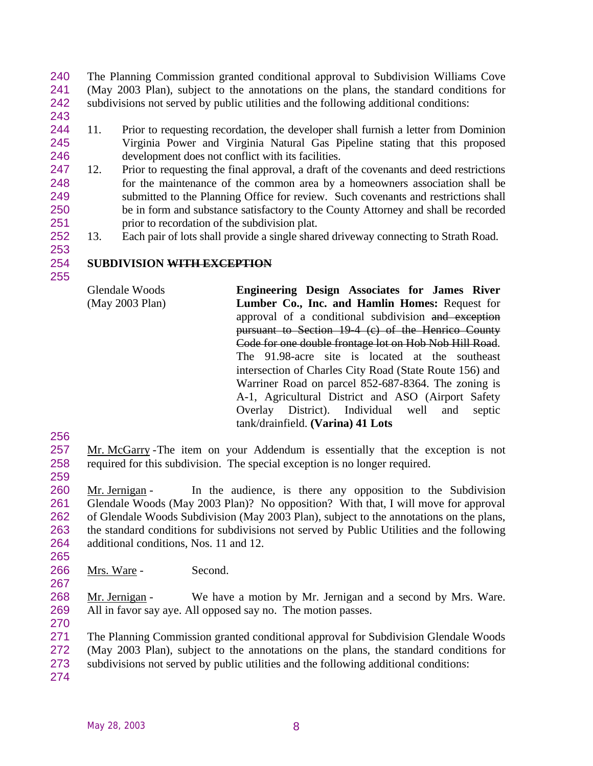The Planning Commission granted conditional approval to Subdivision Williams Cove (May 2003 Plan), subject to the annotations on the plans, the standard conditions for subdivisions not served by public utilities and the following additional conditions:

- 
- 11. Prior to requesting recordation, the developer shall furnish a letter from Dominion Virginia Power and Virginia Natural Gas Pipeline stating that this proposed development does not conflict with its facilities.
- 247 12. Prior to requesting the final approval, a draft of the covenants and deed restrictions for the maintenance of the common area by a homeowners association shall be submitted to the Planning Office for review. Such covenants and restrictions shall be in form and substance satisfactory to the County Attorney and shall be recorded prior to recordation of the subdivision plat.
- 13. Each pair of lots shall provide a single shared driveway connecting to Strath Road.

### **SUBDIVISION WITH EXCEPTION**

Glendale Woods (May 2003 Plan) **Engineering Design Associates for James River Lumber Co., Inc. and Hamlin Homes:** Request for approval of a conditional subdivision and exception pursuant to Section 19-4 (c) of the Henrico County Code for one double frontage lot on Hob Nob Hill Road. The 91.98-acre site is located at the southeast intersection of Charles City Road (State Route 156) and Warriner Road on parcel 852-687-8364. The zoning is A-1, Agricultural District and ASO (Airport Safety Overlay District). Individual well and septic tank/drainfield. **(Varina) 41 Lots**

- 
- Mr. McGarry -The item on your Addendum is essentially that the exception is not required for this subdivision. The special exception is no longer required.
- 

260 Mr. Jernigan - In the audience, is there any opposition to the Subdivision Glendale Woods (May 2003 Plan)? No opposition? With that, I will move for approval of Glendale Woods Subdivision (May 2003 Plan), subject to the annotations on the plans, the standard conditions for subdivisions not served by Public Utilities and the following additional conditions, Nos. 11 and 12.

Mrs. Ware - Second.

 Mr. Jernigan - We have a motion by Mr. Jernigan and a second by Mrs. Ware. All in favor say aye. All opposed say no. The motion passes.

The Planning Commission granted conditional approval for Subdivision Glendale Woods

- (May 2003 Plan), subject to the annotations on the plans, the standard conditions for
- subdivisions not served by public utilities and the following additional conditions:
-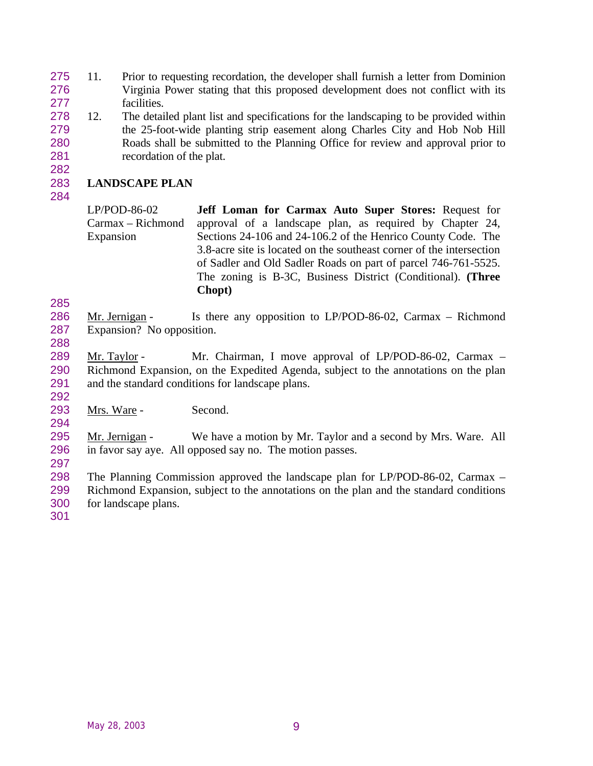- 11. Prior to requesting recordation, the developer shall furnish a letter from Dominion Virginia Power stating that this proposed development does not conflict with its facilities.
- 12. The detailed plant list and specifications for the landscaping to be provided within the 25-foot-wide planting strip easement along Charles City and Hob Nob Hill Roads shall be submitted to the Planning Office for review and approval prior to recordation of the plat.

### **LANDSCAPE PLAN**

LP/POD-86-02 Carmax – Richmond Expansion **Jeff Loman for Carmax Auto Super Stores:** Request for approval of a landscape plan, as required by Chapter 24, Sections 24-106 and 24-106.2 of the Henrico County Code. The 3.8-acre site is located on the southeast corner of the intersection of Sadler and Old Sadler Roads on part of parcel 746-761-5525. The zoning is B-3C, Business District (Conditional). **(Three Chopt)**

286 Mr. Jernigan - Is there any opposition to LP/POD-86-02, Carmax – Richmond Expansion? No opposition.

289 Mr. Taylor - Mr. Chairman, I move approval of LP/POD-86-02, Carmax – Richmond Expansion, on the Expedited Agenda, subject to the annotations on the plan and the standard conditions for landscape plans.

293 Mrs. Ware - Second.

 Mr. Jernigan - We have a motion by Mr. Taylor and a second by Mrs. Ware. All in favor say aye. All opposed say no. The motion passes.

 The Planning Commission approved the landscape plan for LP/POD-86-02, Carmax – Richmond Expansion, subject to the annotations on the plan and the standard conditions for landscape plans.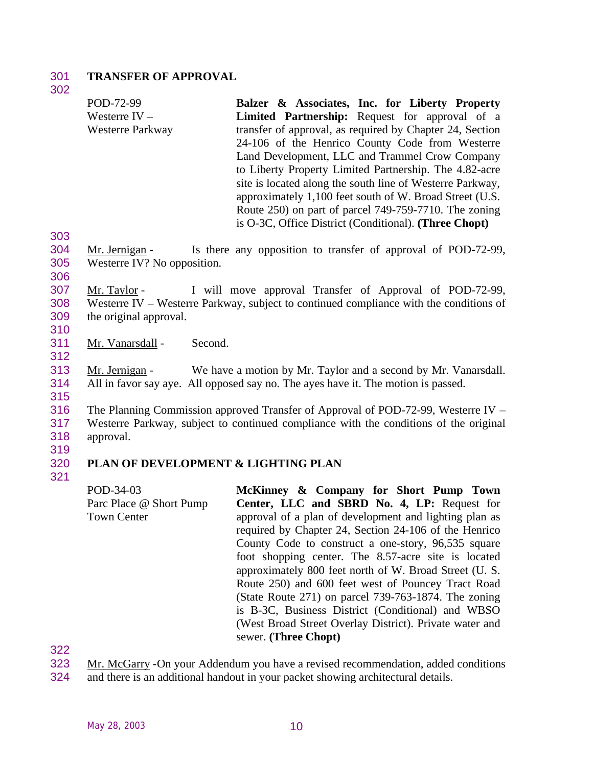#### 301 **TRANSFER OF APPROVAL**

302

303

306

310

312

315

319

321

POD-72-99 Westerre IV – Westerre Parkway **Balzer & Associates, Inc. for Liberty Property Limited Partnership:** Request for approval of a transfer of approval, as required by Chapter 24, Section 24-106 of the Henrico County Code from Westerre Land Development, LLC and Trammel Crow Company to Liberty Property Limited Partnership. The 4.82-acre site is located along the south line of Westerre Parkway, approximately 1,100 feet south of W. Broad Street (U.S. Route 250) on part of parcel 749-759-7710. The zoning is O-3C, Office District (Conditional). **(Three Chopt)** 304 Mr. Jernigan - Is there any opposition to transfer of approval of POD-72-99, 305 Westerre IV? No opposition. 307 Mr. Taylor - I will move approval Transfer of Approval of POD-72-99, 308 Westerre IV – Westerre Parkway, subject to continued compliance with the conditions of 309 the original approval. 311 Mr. Vanarsdall - Second. 313 Mr. Jernigan - We have a motion by Mr. Taylor and a second by Mr. Vanarsdall. 314 All in favor say aye. All opposed say no. The ayes have it. The motion is passed. 316 The Planning Commission approved Transfer of Approval of POD-72-99, Westerre IV – 317 Westerre Parkway, subject to continued compliance with the conditions of the original 318 approval. 320 **PLAN OF DEVELOPMENT & LIGHTING PLAN** POD-34-03 **McKinney & Company for Short Pump Town**

Parc Place @ Short Pump Town Center **Center, LLC and SBRD No. 4, LP:** Request for approval of a plan of development and lighting plan as required by Chapter 24, Section 24-106 of the Henrico County Code to construct a one-story, 96,535 square foot shopping center. The 8.57-acre site is located approximately 800 feet north of W. Broad Street (U. S. Route 250) and 600 feet west of Pouncey Tract Road (State Route 271) on parcel 739-763-1874. The zoning is B-3C, Business District (Conditional) and WBSO (West Broad Street Overlay District). Private water and sewer. **(Three Chopt)**

322

323 Mr. McGarry -On your Addendum you have a revised recommendation, added conditions 324 and there is an additional handout in your packet showing architectural details.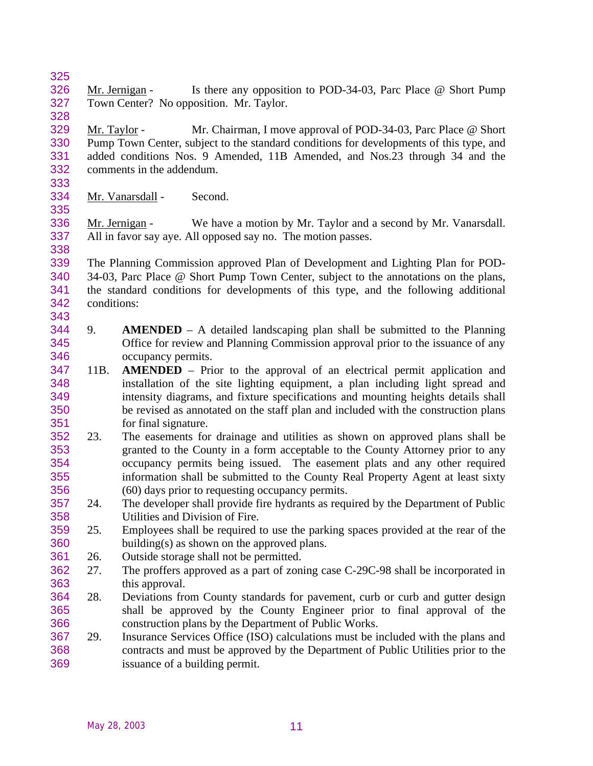326 Mr. Jernigan - Is there any opposition to POD-34-03, Parc Place @ Short Pump Town Center? No opposition. Mr. Taylor.

 Mr. Taylor - Mr. Chairman, I move approval of POD-34-03, Parc Place @ Short Pump Town Center, subject to the standard conditions for developments of this type, and added conditions Nos. 9 Amended, 11B Amended, and Nos.23 through 34 and the comments in the addendum.

Mr. Vanarsdall - Second.

 Mr. Jernigan - We have a motion by Mr. Taylor and a second by Mr. Vanarsdall. All in favor say aye. All opposed say no. The motion passes.

 The Planning Commission approved Plan of Development and Lighting Plan for POD- 34-03, Parc Place @ Short Pump Town Center, subject to the annotations on the plans, the standard conditions for developments of this type, and the following additional conditions: 

- 9. **AMENDED** A detailed landscaping plan shall be submitted to the Planning Office for review and Planning Commission approval prior to the issuance of any occupancy permits.
- 11B. **AMENDED** Prior to the approval of an electrical permit application and installation of the site lighting equipment, a plan including light spread and intensity diagrams, and fixture specifications and mounting heights details shall be revised as annotated on the staff plan and included with the construction plans for final signature.
- 23. The easements for drainage and utilities as shown on approved plans shall be granted to the County in a form acceptable to the County Attorney prior to any occupancy permits being issued. The easement plats and any other required information shall be submitted to the County Real Property Agent at least sixty (60) days prior to requesting occupancy permits.
- 24. The developer shall provide fire hydrants as required by the Department of Public Utilities and Division of Fire.
- 25. Employees shall be required to use the parking spaces provided at the rear of the building(s) as shown on the approved plans.
- 26. Outside storage shall not be permitted.
- 27. The proffers approved as a part of zoning case C-29C-98 shall be incorporated in this approval.
- 28. Deviations from County standards for pavement, curb or curb and gutter design shall be approved by the County Engineer prior to final approval of the construction plans by the Department of Public Works.
- 29. Insurance Services Office (ISO) calculations must be included with the plans and contracts and must be approved by the Department of Public Utilities prior to the issuance of a building permit.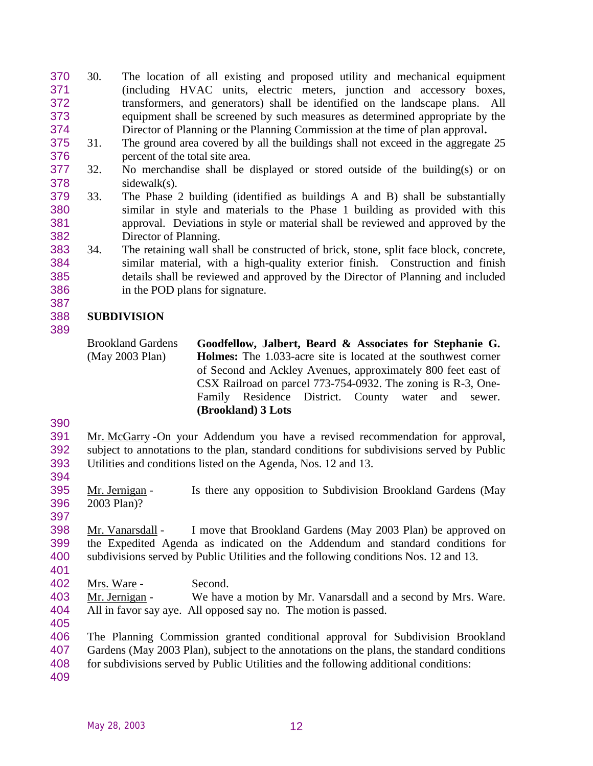- 30. The location of all existing and proposed utility and mechanical equipment (including HVAC units, electric meters, junction and accessory boxes, transformers, and generators) shall be identified on the landscape plans. All equipment shall be screened by such measures as determined appropriate by the Director of Planning or the Planning Commission at the time of plan approval**.**
- 31. The ground area covered by all the buildings shall not exceed in the aggregate 25 percent of the total site area.
- 32. No merchandise shall be displayed or stored outside of the building(s) or on sidewalk(s).
- 33. The Phase 2 building (identified as buildings A and B) shall be substantially similar in style and materials to the Phase 1 building as provided with this approval. Deviations in style or material shall be reviewed and approved by the Director of Planning.
- 34. The retaining wall shall be constructed of brick, stone, split face block, concrete, similar material, with a high-quality exterior finish. Construction and finish details shall be reviewed and approved by the Director of Planning and included in the POD plans for signature.

# **SUBDIVISION**

Brookland Gardens (May 2003 Plan)

**Goodfellow, Jalbert, Beard & Associates for Stephanie G. Holmes:** The 1.033-acre site is located at the southwest corner of Second and Ackley Avenues, approximately 800 feet east of CSX Railroad on parcel 773-754-0932. The zoning is R-3, One-Family Residence District. County water and sewer. **(Brookland) 3 Lots**

 Mr. McGarry -On your Addendum you have a revised recommendation for approval, subject to annotations to the plan, standard conditions for subdivisions served by Public Utilities and conditions listed on the Agenda, Nos. 12 and 13.

 Mr. Jernigan - Is there any opposition to Subdivision Brookland Gardens (May 2003 Plan)?

 Mr. Vanarsdall - I move that Brookland Gardens (May 2003 Plan) be approved on the Expedited Agenda as indicated on the Addendum and standard conditions for subdivisions served by Public Utilities and the following conditions Nos. 12 and 13. 

Mrs. Ware - Second.

 Mr. Jernigan - We have a motion by Mr. Vanarsdall and a second by Mrs. Ware. All in favor say aye. All opposed say no. The motion is passed. 

 The Planning Commission granted conditional approval for Subdivision Brookland Gardens (May 2003 Plan), subject to the annotations on the plans, the standard conditions 408 for subdivisions served by Public Utilities and the following additional conditions: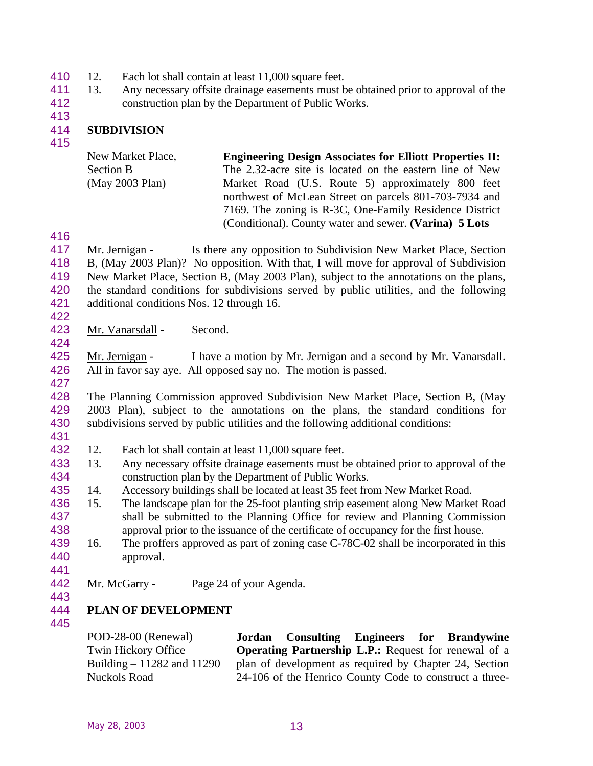- 410 12. Each lot shall contain at least 11,000 square feet.
- 13. Any necessary offsite drainage easements must be obtained prior to approval of the construction plan by the Department of Public Works.
- 

### **SUBDIVISION**

| New Market Place,    | <b>Engineering Design Associates for Elliott Properties II:</b> |
|----------------------|-----------------------------------------------------------------|
| <b>Section B</b>     | The 2.32-acre site is located on the eastern line of New        |
| $(May 2003$ Plan $)$ | Market Road (U.S. Route 5) approximately 800 feet               |
|                      | northwest of McLean Street on parcels 801-703-7934 and          |
|                      | 7169. The zoning is R-3C, One-Family Residence District         |
|                      | (Conditional). County water and sewer. (Varina) 5 Lots          |

417 Mr. Jernigan - Is there any opposition to Subdivision New Market Place, Section B, (May 2003 Plan)? No opposition. With that, I will move for approval of Subdivision New Market Place, Section B, (May 2003 Plan), subject to the annotations on the plans, the standard conditions for subdivisions served by public utilities, and the following additional conditions Nos. 12 through 16. 

Mr. Vanarsdall - Second.

 Mr. Jernigan - I have a motion by Mr. Jernigan and a second by Mr. Vanarsdall. All in favor say aye. All opposed say no. The motion is passed.

 The Planning Commission approved Subdivision New Market Place, Section B, (May 2003 Plan), subject to the annotations on the plans, the standard conditions for subdivisions served by public utilities and the following additional conditions:

- 
- 12. Each lot shall contain at least 11,000 square feet.
- 13. Any necessary offsite drainage easements must be obtained prior to approval of the construction plan by the Department of Public Works.
- 14. Accessory buildings shall be located at least 35 feet from New Market Road.
- 15. The landscape plan for the 25-foot planting strip easement along New Market Road shall be submitted to the Planning Office for review and Planning Commission approval prior to the issuance of the certificate of occupancy for the first house.
- 16. The proffers approved as part of zoning case C-78C-02 shall be incorporated in this approval.
- 442 Mr. McGarry Page 24 of your Agenda.
- 

### **PLAN OF DEVELOPMENT**

|  | Jordan Consulting Engineers for Brandywine<br><b>Operating Partnership L.P.:</b> Request for renewal of a<br>plan of development as required by Chapter 24, Section<br>24-106 of the Henrico County Code to construct a three- |
|--|--------------------------------------------------------------------------------------------------------------------------------------------------------------------------------------------------------------------------------|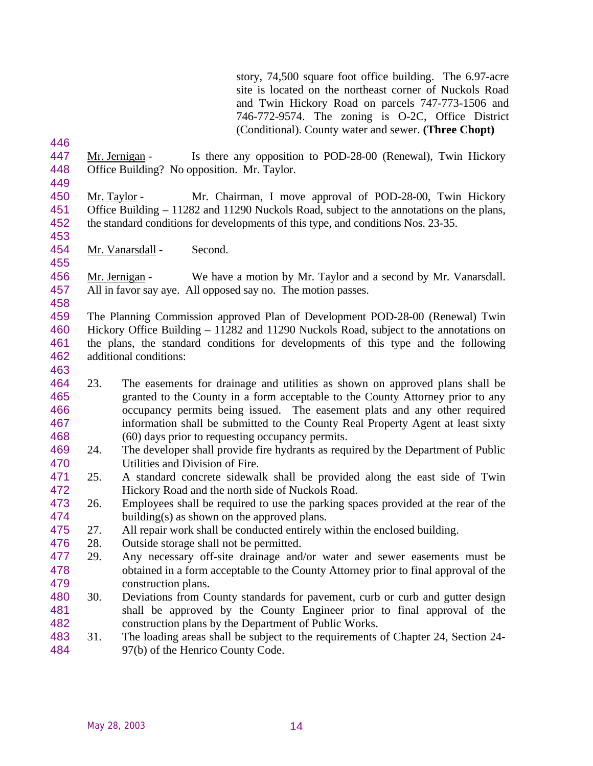story, 74,500 square foot office building. The 6.97-acre site is located on the northeast corner of Nuckols Road and Twin Hickory Road on parcels 747-773-1506 and 746-772-9574. The zoning is O-2C, Office District (Conditional). County water and sewer. **(Three Chopt)**

- 447 Mr. Jernigan Is there any opposition to POD-28-00 (Renewal), Twin Hickory Office Building? No opposition. Mr. Taylor.
- Mr. Taylor Mr. Chairman, I move approval of POD-28-00, Twin Hickory Office Building – 11282 and 11290 Nuckols Road, subject to the annotations on the plans, the standard conditions for developments of this type, and conditions Nos. 23-35.
- Mr. Vanarsdall Second.

 Mr. Jernigan - We have a motion by Mr. Taylor and a second by Mr. Vanarsdall. All in favor say aye. All opposed say no. The motion passes.

- The Planning Commission approved Plan of Development POD-28-00 (Renewal) Twin Hickory Office Building – 11282 and 11290 Nuckols Road, subject to the annotations on the plans, the standard conditions for developments of this type and the following additional conditions:
- 
- 23. The easements for drainage and utilities as shown on approved plans shall be granted to the County in a form acceptable to the County Attorney prior to any occupancy permits being issued. The easement plats and any other required information shall be submitted to the County Real Property Agent at least sixty (60) days prior to requesting occupancy permits.
- 24. The developer shall provide fire hydrants as required by the Department of Public Utilities and Division of Fire.
- 25. A standard concrete sidewalk shall be provided along the east side of Twin Hickory Road and the north side of Nuckols Road.
- 26. Employees shall be required to use the parking spaces provided at the rear of the building(s) as shown on the approved plans.
- 27. All repair work shall be conducted entirely within the enclosed building.
- 28. Outside storage shall not be permitted.
- 29. Any necessary off-site drainage and/or water and sewer easements must be obtained in a form acceptable to the County Attorney prior to final approval of the construction plans.
- 30. Deviations from County standards for pavement, curb or curb and gutter design shall be approved by the County Engineer prior to final approval of the construction plans by the Department of Public Works.
- 31. The loading areas shall be subject to the requirements of Chapter 24, Section 24- 97(b) of the Henrico County Code.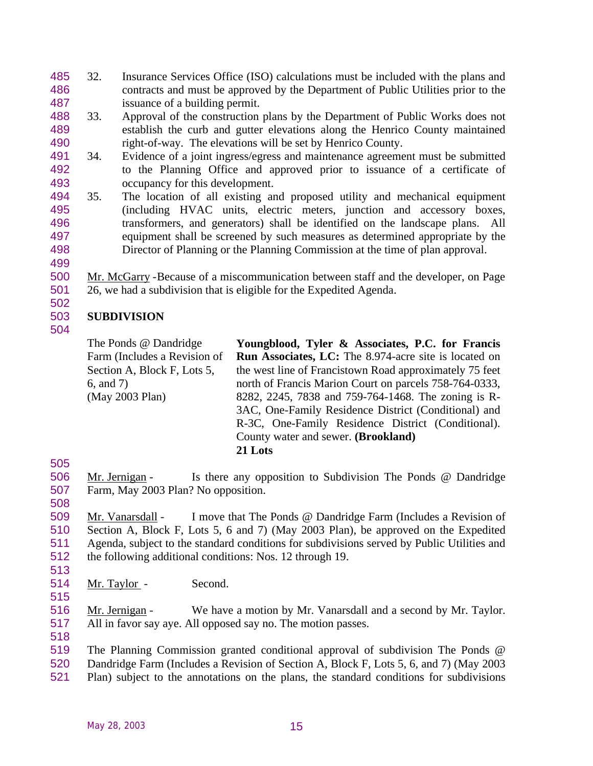- 32. Insurance Services Office (ISO) calculations must be included with the plans and contracts and must be approved by the Department of Public Utilities prior to the issuance of a building permit.
- 33. Approval of the construction plans by the Department of Public Works does not establish the curb and gutter elevations along the Henrico County maintained right-of-way. The elevations will be set by Henrico County.
- 34. Evidence of a joint ingress/egress and maintenance agreement must be submitted to the Planning Office and approved prior to issuance of a certificate of occupancy for this development.
- 35. The location of all existing and proposed utility and mechanical equipment (including HVAC units, electric meters, junction and accessory boxes, transformers, and generators) shall be identified on the landscape plans. All equipment shall be screened by such measures as determined appropriate by the Director of Planning or the Planning Commission at the time of plan approval.
- 

 Mr. McGarry -Because of a miscommunication between staff and the developer, on Page 26, we had a subdivision that is eligible for the Expedited Agenda.

# **SUBDIVISION**

The Ponds @ Dandridge Farm (Includes a Revision of Section A, Block F, Lots 5, 6, and 7) (May 2003 Plan) **Youngblood, Tyler & Associates, P.C. for Francis Run Associates, LC:** The 8.974-acre site is located on the west line of Francistown Road approximately 75 feet north of Francis Marion Court on parcels 758-764-0333, 8282, 2245, 7838 and 759-764-1468. The zoning is R-3AC, One-Family Residence District (Conditional) and R-3C, One-Family Residence District (Conditional). County water and sewer. **(Brookland) 21 Lots**

506 Mr. Jernigan - Is there any opposition to Subdivision The Ponds @ Dandridge Farm, May 2003 Plan? No opposition. 

 Mr. Vanarsdall - I move that The Ponds @ Dandridge Farm (Includes a Revision of Section A, Block F, Lots 5, 6 and 7) (May 2003 Plan), be approved on the Expedited Agenda, subject to the standard conditions for subdivisions served by Public Utilities and the following additional conditions: Nos. 12 through 19. 

514 Mr. Taylor - Second. 

516 Mr. Jernigan - We have a motion by Mr. Vanarsdall and a second by Mr. Taylor. All in favor say aye. All opposed say no. The motion passes.

 The Planning Commission granted conditional approval of subdivision The Ponds @ Dandridge Farm (Includes a Revision of Section A, Block F, Lots 5, 6, and 7) (May 2003 Plan) subject to the annotations on the plans, the standard conditions for subdivisions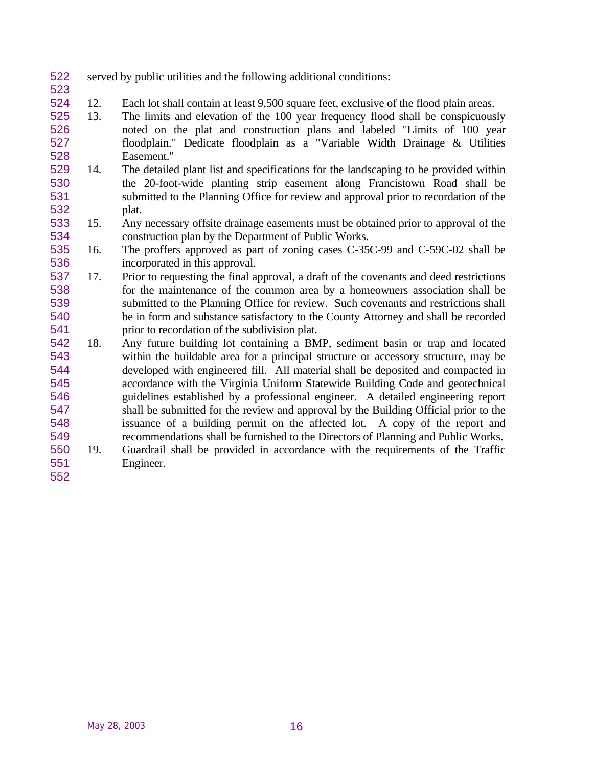- served by public utilities and the following additional conditions:
- 12. Each lot shall contain at least 9,500 square feet, exclusive of the flood plain areas.
- 13. The limits and elevation of the 100 year frequency flood shall be conspicuously noted on the plat and construction plans and labeled "Limits of 100 year floodplain." Dedicate floodplain as a "Variable Width Drainage & Utilities Easement."
- 14. The detailed plant list and specifications for the landscaping to be provided within the 20-foot-wide planting strip easement along Francistown Road shall be submitted to the Planning Office for review and approval prior to recordation of the plat.
- 15. Any necessary offsite drainage easements must be obtained prior to approval of the construction plan by the Department of Public Works.
- 16. The proffers approved as part of zoning cases C-35C-99 and C-59C-02 shall be incorporated in this approval.
- 17. Prior to requesting the final approval, a draft of the covenants and deed restrictions for the maintenance of the common area by a homeowners association shall be submitted to the Planning Office for review. Such covenants and restrictions shall be in form and substance satisfactory to the County Attorney and shall be recorded prior to recordation of the subdivision plat.
- 18. Any future building lot containing a BMP, sediment basin or trap and located within the buildable area for a principal structure or accessory structure, may be developed with engineered fill. All material shall be deposited and compacted in accordance with the Virginia Uniform Statewide Building Code and geotechnical guidelines established by a professional engineer. A detailed engineering report shall be submitted for the review and approval by the Building Official prior to the issuance of a building permit on the affected lot. A copy of the report and recommendations shall be furnished to the Directors of Planning and Public Works.
- 19. Guardrail shall be provided in accordance with the requirements of the Traffic Engineer.
-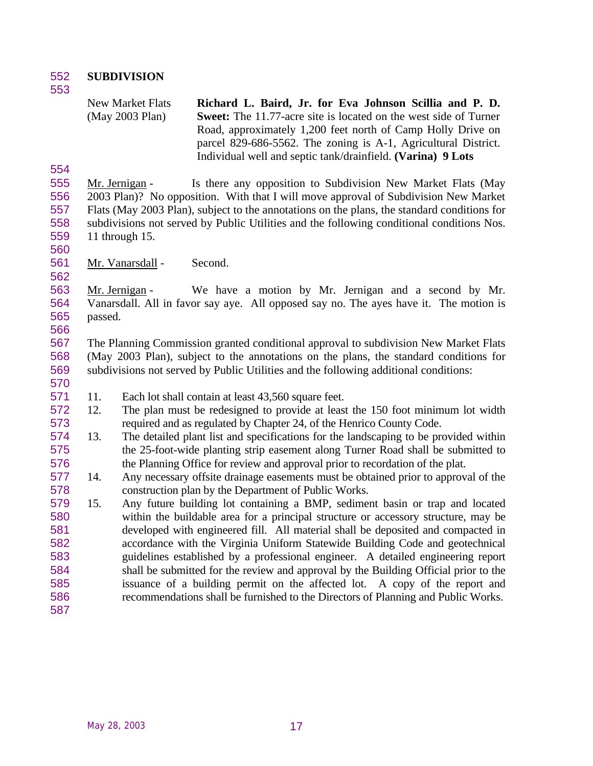**SUBDIVISION** 

New Market Flats (May 2003 Plan) **Richard L. Baird, Jr. for Eva Johnson Scillia and P. D. Sweet:** The 11.77-acre site is located on the west side of Turner Road, approximately 1,200 feet north of Camp Holly Drive on parcel 829-686-5562. The zoning is A-1, Agricultural District. Individual well and septic tank/drainfield. **(Varina) 9 Lots**

 Mr. Jernigan - Is there any opposition to Subdivision New Market Flats (May 2003 Plan)? No opposition. With that I will move approval of Subdivision New Market Flats (May 2003 Plan), subject to the annotations on the plans, the standard conditions for subdivisions not served by Public Utilities and the following conditional conditions Nos. 11 through 15.

Mr. Vanarsdall - Second.

 Mr. Jernigan - We have a motion by Mr. Jernigan and a second by Mr. Vanarsdall. All in favor say aye. All opposed say no. The ayes have it. The motion is passed. 

 The Planning Commission granted conditional approval to subdivision New Market Flats (May 2003 Plan), subject to the annotations on the plans, the standard conditions for subdivisions not served by Public Utilities and the following additional conditions:

- 
- 11. Each lot shall contain at least 43,560 square feet.
- 12. The plan must be redesigned to provide at least the 150 foot minimum lot width required and as regulated by Chapter 24, of the Henrico County Code.
- 13. The detailed plant list and specifications for the landscaping to be provided within the 25-foot-wide planting strip easement along Turner Road shall be submitted to the Planning Office for review and approval prior to recordation of the plat.
- 14. Any necessary offsite drainage easements must be obtained prior to approval of the construction plan by the Department of Public Works.

 15. Any future building lot containing a BMP, sediment basin or trap and located within the buildable area for a principal structure or accessory structure, may be developed with engineered fill. All material shall be deposited and compacted in accordance with the Virginia Uniform Statewide Building Code and geotechnical guidelines established by a professional engineer. A detailed engineering report shall be submitted for the review and approval by the Building Official prior to the issuance of a building permit on the affected lot. A copy of the report and recommendations shall be furnished to the Directors of Planning and Public Works.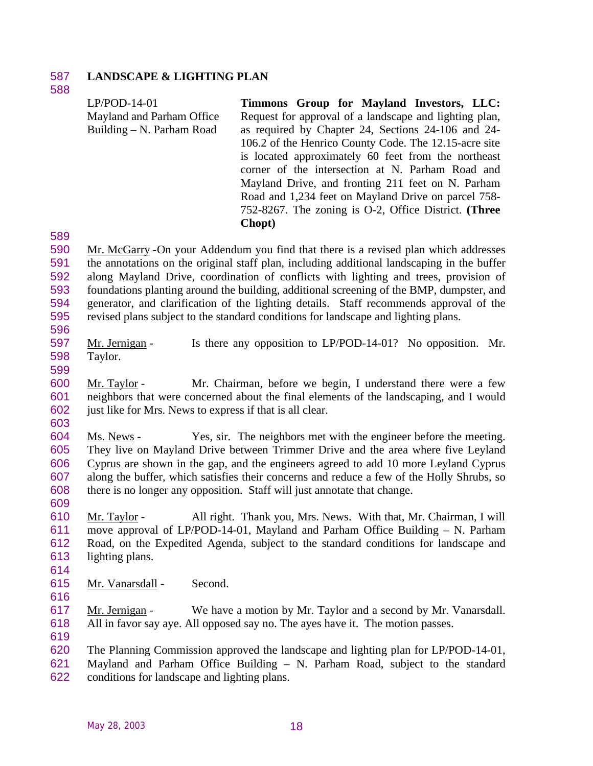### **LANDSCAPE & LIGHTING PLAN**

|                                 | $LP/POD-14-01$<br>Mayland and Parham Office<br>Building – N. Parham Road | Timmons Group for Mayland Investors, LLC:<br>Request for approval of a landscape and lighting plan,<br>as required by Chapter 24, Sections 24-106 and 24-<br>106.2 of the Henrico County Code. The 12.15-acre site<br>is located approximately 60 feet from the northeast<br>corner of the intersection at N. Parham Road and<br>Mayland Drive, and fronting 211 feet on N. Parham<br>Road and 1,234 feet on Mayland Drive on parcel 758-<br>752-8267. The zoning is O-2, Office District. (Three<br>Chopt) |
|---------------------------------|--------------------------------------------------------------------------|-------------------------------------------------------------------------------------------------------------------------------------------------------------------------------------------------------------------------------------------------------------------------------------------------------------------------------------------------------------------------------------------------------------------------------------------------------------------------------------------------------------|
| 589                             |                                                                          |                                                                                                                                                                                                                                                                                                                                                                                                                                                                                                             |
| 590<br>591<br>592<br>593<br>594 |                                                                          | Mr. McGarry -On your Addendum you find that there is a revised plan which addresses<br>the annotations on the original staff plan, including additional landscaping in the buffer<br>along Mayland Drive, coordination of conflicts with lighting and trees, provision of<br>foundations planting around the building, additional screening of the BMP, dumpster, and<br>generator, and clarification of the lighting details. Staff recommends approval of the                                             |

597 Mr. Jernigan - Is there any opposition to LP/POD-14-01? No opposition. Mr. Taylor.

 Mr. Taylor - Mr. Chairman, before we begin, I understand there were a few neighbors that were concerned about the final elements of the landscaping, and I would just like for Mrs. News to express if that is all clear.

revised plans subject to the standard conditions for landscape and lighting plans.

 Ms. News - Yes, sir. The neighbors met with the engineer before the meeting. They live on Mayland Drive between Trimmer Drive and the area where five Leyland Cyprus are shown in the gap, and the engineers agreed to add 10 more Leyland Cyprus along the buffer, which satisfies their concerns and reduce a few of the Holly Shrubs, so there is no longer any opposition. Staff will just annotate that change. 

 Mr. Taylor - All right. Thank you, Mrs. News. With that, Mr. Chairman, I will move approval of LP/POD-14-01, Mayland and Parham Office Building – N. Parham Road, on the Expedited Agenda, subject to the standard conditions for landscape and lighting plans.

- Mr. Vanarsdall Second.
- 

617 Mr. Jernigan - We have a motion by Mr. Taylor and a second by Mr. Vanarsdall. All in favor say aye. All opposed say no. The ayes have it. The motion passes.

 The Planning Commission approved the landscape and lighting plan for LP/POD-14-01, Mayland and Parham Office Building – N. Parham Road, subject to the standard conditions for landscape and lighting plans.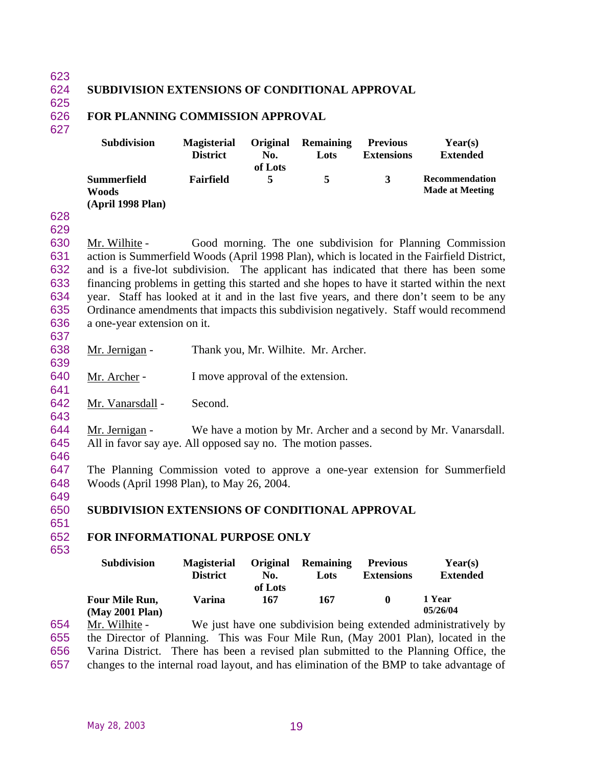#### 624 **SUBDIVISION EXTENSIONS OF CONDITIONAL APPROVAL**

625

#### 626 **FOR PLANNING COMMISSION APPROVAL**

| ٧ |  |  |
|---|--|--|
|   |  |  |

| <b>Subdivision</b>                        | <b>Magisterial</b> | Original | <b>Remaining</b> | <b>Previous</b>   | Year(s)                                  |
|-------------------------------------------|--------------------|----------|------------------|-------------------|------------------------------------------|
|                                           | <b>District</b>    | No.      | Lots             | <b>Extensions</b> | <b>Extended</b>                          |
| Summerfield<br>Woods<br>(April 1998 Plan) | Fairfield          | of Lots  | 5                | 3                 | Recommendation<br><b>Made at Meeting</b> |

628 629

 Mr. Wilhite - Good morning. The one subdivision for Planning Commission action is Summerfield Woods (April 1998 Plan), which is located in the Fairfield District, and is a five-lot subdivision. The applicant has indicated that there has been some financing problems in getting this started and she hopes to have it started within the next year. Staff has looked at it and in the last five years, and there don't seem to be any Ordinance amendments that impacts this subdivision negatively. Staff would recommend a one-year extension on it.

637

638 Mr. Jernigan - Thank you, Mr. Wilhite. Mr. Archer. 639

640 Mr. Archer - I move approval of the extension.

642 Mr. Vanarsdall - Second.

643

646

641

644 Mr. Jernigan - We have a motion by Mr. Archer and a second by Mr. Vanarsdall. 645 All in favor say aye. All opposed say no. The motion passes.

647 The Planning Commission voted to approve a one-year extension for Summerfield 648 Woods (April 1998 Plan), to May 26, 2004.

649

650 **SUBDIVISION EXTENSIONS OF CONDITIONAL APPROVAL** 651

### 652 **FOR INFORMATIONAL PURPOSE ONLY**

653

|     | <b>Subdivision</b>    | <b>Magisterial</b> | Original | <b>Remaining</b> | <b>Previous</b>   | Year(s)                                                         |  |
|-----|-----------------------|--------------------|----------|------------------|-------------------|-----------------------------------------------------------------|--|
|     |                       | <b>District</b>    | No.      | Lots             | <b>Extensions</b> | <b>Extended</b>                                                 |  |
|     |                       |                    | of Lots  |                  |                   |                                                                 |  |
|     | <b>Four Mile Run,</b> | Varina             | 167      | 167              |                   | 1 Year                                                          |  |
|     | (May 2001 Plan)       |                    |          |                  |                   | 05/26/04                                                        |  |
| 654 | Mr. Wilhite -         |                    |          |                  |                   | We just have one subdivision being extended administratively by |  |

655 the Director of Planning. This was Four Mile Run, (May 2001 Plan), located in the 656 Varina District. There has been a revised plan submitted to the Planning Office, the

657 changes to the internal road layout, and has elimination of the BMP to take advantage of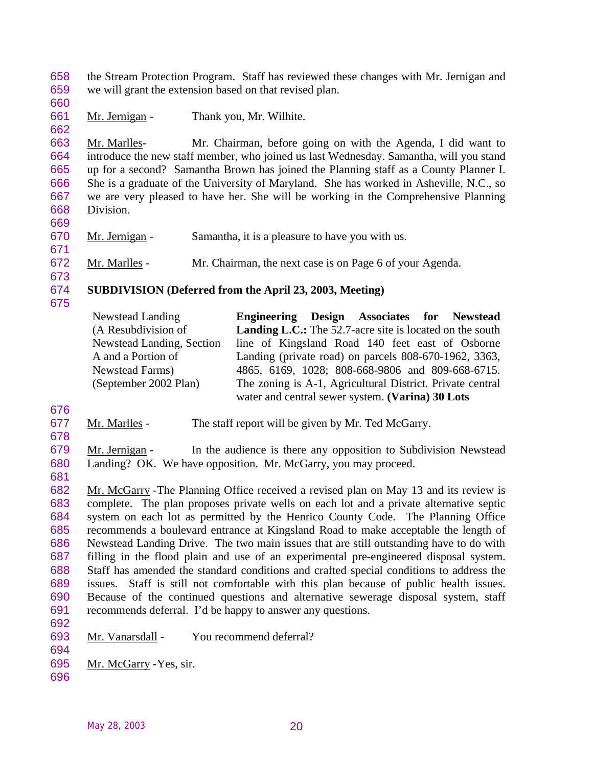the Stream Protection Program. Staff has reviewed these changes with Mr. Jernigan and we will grant the extension based on that revised plan.

661 Mr. Jernigan - Thank you, Mr. Wilhite.

 Mr. Marlles- Mr. Chairman, before going on with the Agenda, I did want to introduce the new staff member, who joined us last Wednesday. Samantha, will you stand up for a second? Samantha Brown has joined the Planning staff as a County Planner I. She is a graduate of the University of Maryland. She has worked in Asheville, N.C., so we are very pleased to have her. She will be working in the Comprehensive Planning Division.

- Mr. Jernigan Samantha, it is a pleasure to have you with us.
- Mr. Marlles Mr. Chairman, the next case is on Page 6 of your Agenda.
- 

### **SUBDIVISION (Deferred from the April 23, 2003, Meeting)**

| Newstead Landing                 | Engineering Design Associates for Newstead                      |
|----------------------------------|-----------------------------------------------------------------|
| (A Resubdivision of              | <b>Landing L.C.:</b> The 52.7-acre site is located on the south |
| <b>Newstead Landing, Section</b> | line of Kingsland Road 140 feet east of Osborne                 |
| A and a Portion of               | Landing (private road) on parcels 808-670-1962, 3363,           |
| Newstead Farms)                  | 4865, 6169, 1028; 808-668-9806 and 809-668-6715.                |
| (September 2002 Plan)            | The zoning is A-1, Agricultural District. Private central       |
|                                  | water and central sewer system. (Varina) 30 Lots                |

- 
- Mr. Marlles The staff report will be given by Mr. Ted McGarry.
- 

 Mr. Jernigan - In the audience is there any opposition to Subdivision Newstead Landing? OK. We have opposition. Mr. McGarry, you may proceed.

 Mr. McGarry -The Planning Office received a revised plan on May 13 and its review is complete. The plan proposes private wells on each lot and a private alternative septic system on each lot as permitted by the Henrico County Code. The Planning Office recommends a boulevard entrance at Kingsland Road to make acceptable the length of Newstead Landing Drive. The two main issues that are still outstanding have to do with filling in the flood plain and use of an experimental pre-engineered disposal system. Staff has amended the standard conditions and crafted special conditions to address the issues. Staff is still not comfortable with this plan because of public health issues. Because of the continued questions and alternative sewerage disposal system, staff recommends deferral. I'd be happy to answer any questions. 

- Mr. Vanarsdall You recommend deferral?
- Mr. McGarry -Yes, sir.
-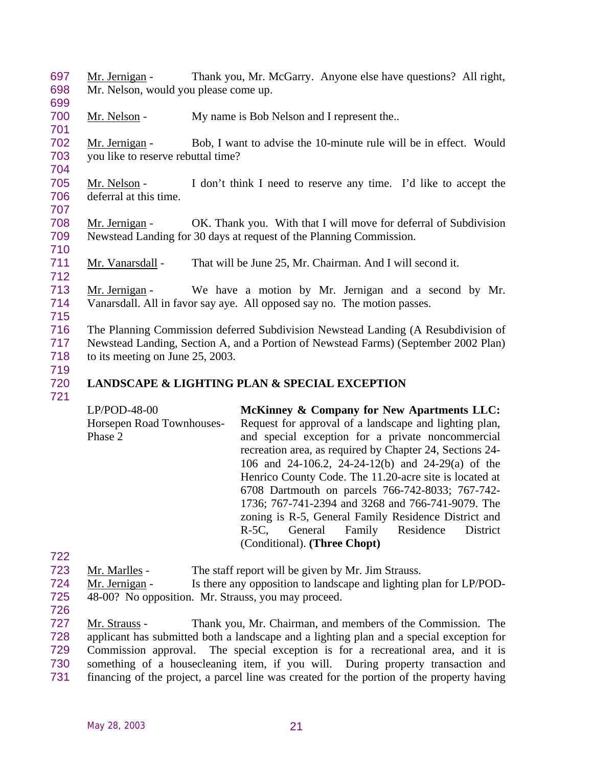Mr. Jernigan - Thank you, Mr. McGarry. Anyone else have questions? All right, Mr. Nelson, would you please come up. 

700 Mr. Nelson - My name is Bob Nelson and I represent the..

 Mr. Jernigan - Bob, I want to advise the 10-minute rule will be in effect. Would you like to reserve rebuttal time?

 Mr. Nelson - I don't think I need to reserve any time. I'd like to accept the deferral at this time.

708 Mr. Jernigan - OK. Thank you. With that I will move for deferral of Subdivision Newstead Landing for 30 days at request of the Planning Commission. 

Mr. Vanarsdall - That will be June 25, Mr. Chairman. And I will second it.

 Mr. Jernigan - We have a motion by Mr. Jernigan and a second by Mr. Vanarsdall. All in favor say aye. All opposed say no. The motion passes. 

 The Planning Commission deferred Subdivision Newstead Landing (A Resubdivision of Newstead Landing, Section A, and a Portion of Newstead Farms) (September 2002 Plan) 718 to its meeting on June 25, 2003.

- 
- 

## **LANDSCAPE & LIGHTING PLAN & SPECIAL EXCEPTION**

- LP/POD-48-00 Horsepen Road Townhouses-Phase 2 **McKinney & Company for New Apartments LLC:** Request for approval of a landscape and lighting plan, and special exception for a private noncommercial recreation area, as required by Chapter 24, Sections 24- 106 and 24-106.2, 24-24-12(b) and 24-29(a) of the Henrico County Code. The 11.20-acre site is located at 6708 Dartmouth on parcels 766-742-8033; 767-742- 1736; 767-741-2394 and 3268 and 766-741-9079. The zoning is R-5, General Family Residence District and R-5C, General Family Residence District (Conditional). **(Three Chopt)**
- Mr. Marlles The staff report will be given by Mr. Jim Strauss.
- Mr. Jernigan Is there any opposition to landscape and lighting plan for LP/POD-
- 48-00? No opposition. Mr. Strauss, you may proceed.
- 

 Mr. Strauss - Thank you, Mr. Chairman, and members of the Commission. The applicant has submitted both a landscape and a lighting plan and a special exception for Commission approval. The special exception is for a recreational area, and it is something of a housecleaning item, if you will. During property transaction and financing of the project, a parcel line was created for the portion of the property having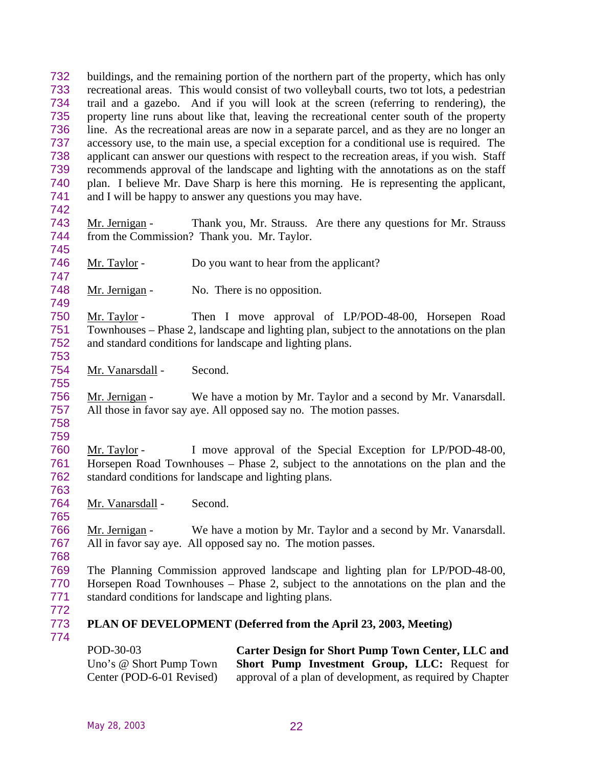|                                 | Uno's @ Short Pump Town<br>Center (POD-6-01 Revised)                                                                                                                                                                                          |         | Short Pump Investment Group, LLC: Request for<br>approval of a plan of development, as required by Chapter                                                                                                    |
|---------------------------------|-----------------------------------------------------------------------------------------------------------------------------------------------------------------------------------------------------------------------------------------------|---------|---------------------------------------------------------------------------------------------------------------------------------------------------------------------------------------------------------------|
| 774                             | POD-30-03                                                                                                                                                                                                                                     |         | Carter Design for Short Pump Town Center, LLC and                                                                                                                                                             |
| 771<br>772<br>773               |                                                                                                                                                                                                                                               |         | standard conditions for landscape and lighting plans.<br>PLAN OF DEVELOPMENT (Deferred from the April 23, 2003, Meeting)                                                                                      |
| 769<br>770                      |                                                                                                                                                                                                                                               |         | The Planning Commission approved landscape and lighting plan for LP/POD-48-00,<br>Horsepen Road Townhouses – Phase 2, subject to the annotations on the plan and the                                          |
| 766<br>767<br>768               | Mr. Jernigan -                                                                                                                                                                                                                                |         | We have a motion by Mr. Taylor and a second by Mr. Vanarsdall.<br>All in favor say aye. All opposed say no. The motion passes.                                                                                |
| 764<br>765                      | Mr. Vanarsdall - Second.                                                                                                                                                                                                                      |         |                                                                                                                                                                                                               |
| 759<br>760<br>761<br>762<br>763 | Mr. Taylor -                                                                                                                                                                                                                                  |         | I move approval of the Special Exception for LP/POD-48-00,<br>Horsepen Road Townhouses – Phase 2, subject to the annotations on the plan and the<br>standard conditions for landscape and lighting plans.     |
| 756<br>757<br>758               | Mr. Jernigan -                                                                                                                                                                                                                                |         | We have a motion by Mr. Taylor and a second by Mr. Vanarsdall.<br>All those in favor say aye. All opposed say no. The motion passes.                                                                          |
| 754<br>755                      | Mr. Vanarsdall -                                                                                                                                                                                                                              | Second. |                                                                                                                                                                                                               |
| 750<br>751<br>752<br>753        | Mr. Taylor -                                                                                                                                                                                                                                  |         | Then I move approval of LP/POD-48-00, Horsepen Road<br>Townhouses – Phase 2, landscape and lighting plan, subject to the annotations on the plan<br>and standard conditions for landscape and lighting plans. |
| 748<br>749                      | Mr. Jernigan -                                                                                                                                                                                                                                |         | No. There is no opposition.                                                                                                                                                                                   |
| 746<br>747                      | Mr. Taylor -                                                                                                                                                                                                                                  |         | Do you want to hear from the applicant?                                                                                                                                                                       |
| 743<br>744<br>745               | Mr. Jernigan -<br>from the Commission? Thank you. Mr. Taylor.                                                                                                                                                                                 |         | Thank you, Mr. Strauss. Are there any questions for Mr. Strauss                                                                                                                                               |
| 740<br>741<br>742               | recommends approval of the landscape and lighting with the annotations as on the staff<br>plan. I believe Mr. Dave Sharp is here this morning. He is representing the applicant,<br>and I will be happy to answer any questions you may have. |         |                                                                                                                                                                                                               |
| 738<br>739                      | applicant can answer our questions with respect to the recreation areas, if you wish. Staff                                                                                                                                                   |         |                                                                                                                                                                                                               |
| 736<br>737                      | line. As the recreational areas are now in a separate parcel, and as they are no longer an<br>accessory use, to the main use, a special exception for a conditional use is required. The                                                      |         |                                                                                                                                                                                                               |
| 735                             | property line runs about like that, leaving the recreational center south of the property                                                                                                                                                     |         |                                                                                                                                                                                                               |
| 734                             | trail and a gazebo. And if you will look at the screen (referring to rendering), the                                                                                                                                                          |         |                                                                                                                                                                                                               |
| 732<br>733                      | buildings, and the remaining portion of the northern part of the property, which has only<br>recreational areas. This would consist of two volleyball courts, two tot lots, a pedestrian                                                      |         |                                                                                                                                                                                                               |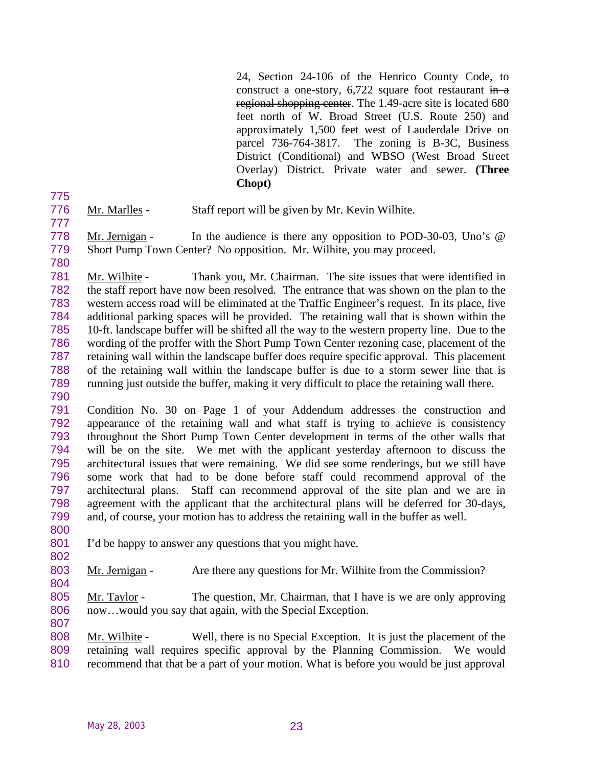24, Section 24-106 of the Henrico County Code, to construct a one-story,  $6,722$  square foot restaurant in a regional shopping center. The 1.49-acre site is located 680 feet north of W. Broad Street (U.S. Route 250) and approximately 1,500 feet west of Lauderdale Drive on parcel 736-764-3817. The zoning is B-3C, Business District (Conditional) and WBSO (West Broad Street Overlay) District. Private water and sewer. **(Three Chopt)**

- 
- Mr. Marlles Staff report will be given by Mr. Kevin Wilhite.
- 
- Mr. Jernigan In the audience is there any opposition to POD-30-03, Uno's @
- Short Pump Town Center? No opposition. Mr. Wilhite, you may proceed.

 Mr. Wilhite - Thank you, Mr. Chairman. The site issues that were identified in the staff report have now been resolved. The entrance that was shown on the plan to the western access road will be eliminated at the Traffic Engineer's request. In its place, five additional parking spaces will be provided. The retaining wall that is shown within the 10-ft. landscape buffer will be shifted all the way to the western property line. Due to the wording of the proffer with the Short Pump Town Center rezoning case, placement of the retaining wall within the landscape buffer does require specific approval. This placement of the retaining wall within the landscape buffer is due to a storm sewer line that is running just outside the buffer, making it very difficult to place the retaining wall there. 

 Condition No. 30 on Page 1 of your Addendum addresses the construction and appearance of the retaining wall and what staff is trying to achieve is consistency throughout the Short Pump Town Center development in terms of the other walls that will be on the site. We met with the applicant yesterday afternoon to discuss the architectural issues that were remaining. We did see some renderings, but we still have some work that had to be done before staff could recommend approval of the architectural plans. Staff can recommend approval of the site plan and we are in agreement with the applicant that the architectural plans will be deferred for 30-days, and, of course, your motion has to address the retaining wall in the buffer as well.

- I'd be happy to answer any questions that you might have.
- 803 Mr. Jernigan Are there any questions for Mr. Wilhite from the Commission?
- 805 Mr. Taylor The question, Mr. Chairman, that I have is we are only approving 806 now...would you say that again, with the Special Exception.

808 Mr. Wilhite - Well, there is no Special Exception. It is just the placement of the retaining wall requires specific approval by the Planning Commission. We would recommend that that be a part of your motion. What is before you would be just approval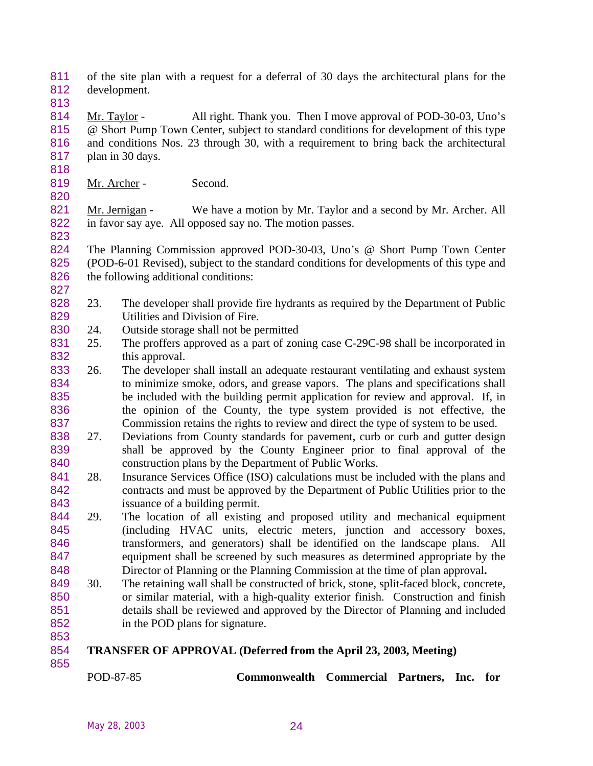- of the site plan with a request for a deferral of 30 days the architectural plans for the development.
- 

814 Mr. Taylor - All right. Thank you. Then I move approval of POD-30-03, Uno's @ Short Pump Town Center, subject to standard conditions for development of this type and conditions Nos. 23 through 30, with a requirement to bring back the architectural plan in 30 days.

819 Mr. Archer - Second.

821 Mr. Jernigan - We have a motion by Mr. Taylor and a second by Mr. Archer. All in favor say aye. All opposed say no. The motion passes. 

 The Planning Commission approved POD-30-03, Uno's @ Short Pump Town Center (POD-6-01 Revised), subject to the standard conditions for developments of this type and 826 the following additional conditions:

- 23. The developer shall provide fire hydrants as required by the Department of Public Utilities and Division of Fire.
- 24. Outside storage shall not be permitted
- 831 25. The proffers approved as a part of zoning case C-29C-98 shall be incorporated in this approval.
- 26. The developer shall install an adequate restaurant ventilating and exhaust system to minimize smoke, odors, and grease vapors. The plans and specifications shall be included with the building permit application for review and approval. If, in the opinion of the County, the type system provided is not effective, the Commission retains the rights to review and direct the type of system to be used.
- 27. Deviations from County standards for pavement, curb or curb and gutter design shall be approved by the County Engineer prior to final approval of the construction plans by the Department of Public Works.
- 28. Insurance Services Office (ISO) calculations must be included with the plans and contracts and must be approved by the Department of Public Utilities prior to the issuance of a building permit.
- 29. The location of all existing and proposed utility and mechanical equipment (including HVAC units, electric meters, junction and accessory boxes, transformers, and generators) shall be identified on the landscape plans. All equipment shall be screened by such measures as determined appropriate by the Director of Planning or the Planning Commission at the time of plan approval**.**
- 849 30. The retaining wall shall be constructed of brick, stone, split-faced block, concrete, or similar material, with a high-quality exterior finish. Construction and finish details shall be reviewed and approved by the Director of Planning and included in the POD plans for signature.
- **TRANSFER OF APPROVAL (Deferred from the April 23, 2003, Meeting)**
	-

POD-87-85 **Commonwealth Commercial Partners, Inc. for**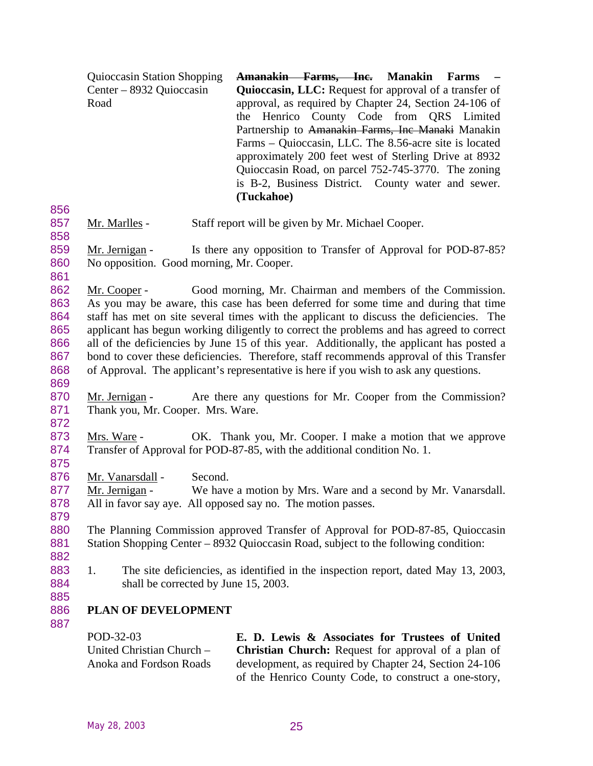| <b>Quioccasin Station Shopping</b> | Amanakin Farms, Inc. Manakin Farms -                          |
|------------------------------------|---------------------------------------------------------------|
| Center – 8932 Quioccasin           | <b>Quioccasin, LLC:</b> Request for approval of a transfer of |
| Road                               | approval, as required by Chapter 24, Section 24-106 of        |
|                                    | the Henrico County Code from QRS Limited                      |
|                                    | Partnership to Amanakin Farms, Inc Manaki Manakin             |
|                                    | Farms – Quioccasin, LLC. The 8.56-acre site is located        |
|                                    | approximately 200 feet west of Sterling Drive at 8932         |
|                                    | Quioccasin Road, on parcel 752-745-3770. The zoning           |
|                                    | is B-2, Business District. County water and sewer.            |
|                                    | (Tuckahoe)                                                    |
|                                    |                                                               |

- 857 Mr. Marlles Staff report will be given by Mr. Michael Cooper.
- 859 Mr. Jernigan Is there any opposition to Transfer of Approval for POD-87-85? 860 No opposition. Good morning, Mr. Cooper.
- 862 Mr. Cooper Good morning, Mr. Chairman and members of the Commission. 863 As you may be aware, this case has been deferred for some time and during that time 864 staff has met on site several times with the applicant to discuss the deficiencies. The 865 applicant has begun working diligently to correct the problems and has agreed to correct 866 all of the deficiencies by June 15 of this year. Additionally, the applicant has posted a 867 bond to cover these deficiencies. Therefore, staff recommends approval of this Transfer 868 of Approval. The applicant's representative is here if you wish to ask any questions.
- 869

858

861

- 870 Mr. Jernigan Are there any questions for Mr. Cooper from the Commission? 871 Thank you, Mr. Cooper. Mrs. Ware.
- 873 Mrs. Ware OK. Thank you, Mr. Cooper. I make a motion that we approve 874 Transfer of Approval for POD-87-85, with the additional condition No. 1.
- 875

872

876 Mr. Vanarsdall - Second.

877 Mr. Jernigan - We have a motion by Mrs. Ware and a second by Mr. Vanarsdall. 878 All in favor say aye. All opposed say no. The motion passes. 879

- 880 The Planning Commission approved Transfer of Approval for POD-87-85, Quioccasin 881 Station Shopping Center – 8932 Quioccasin Road, subject to the following condition:
- 883 1. The site deficiencies, as identified in the inspection report, dated May 13, 2003, 884 shall be corrected by June 15, 2003.
- 885

887

882

### 886 **PLAN OF DEVELOPMENT**

POD-32-03 United Christian Church – Anoka and Fordson Roads **E. D. Lewis & Associates for Trustees of United Christian Church:** Request for approval of a plan of development, as required by Chapter 24, Section 24-106 of the Henrico County Code, to construct a one-story,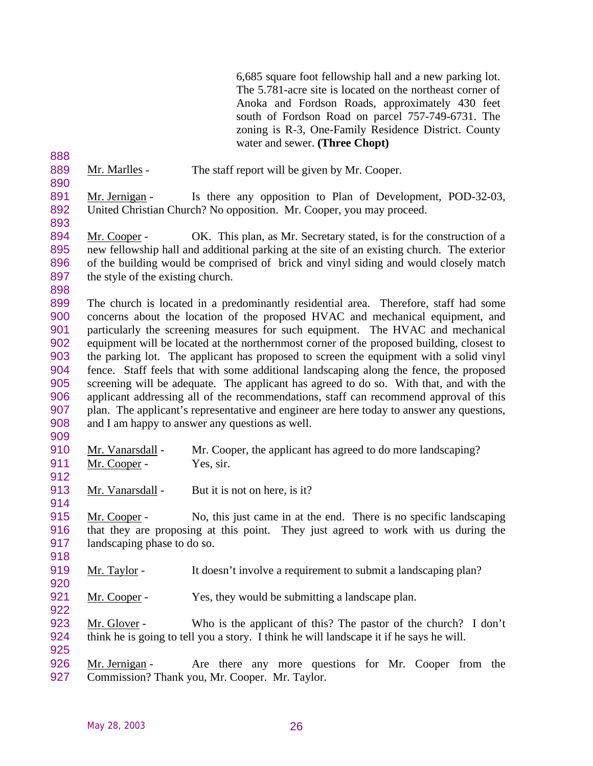6,685 square foot fellowship hall and a new parking lot. The 5.781-acre site is located on the northeast corner of Anoka and Fordson Roads, approximately 430 feet south of Fordson Road on parcel 757-749-6731. The zoning is R-3, One-Family Residence District. County water and sewer. **(Three Chopt)**

889 Mr. Marlles - The staff report will be given by Mr. Cooper. 

891 Mr. Jernigan - Is there any opposition to Plan of Development, POD-32-03, United Christian Church? No opposition. Mr. Cooper, you may proceed.

- 894 Mr. Cooper OK. This plan, as Mr. Secretary stated, is for the construction of a new fellowship hall and additional parking at the site of an existing church. The exterior of the building would be comprised of brick and vinyl siding and would closely match 897 the style of the existing church.
- 

 The church is located in a predominantly residential area. Therefore, staff had some concerns about the location of the proposed HVAC and mechanical equipment, and particularly the screening measures for such equipment. The HVAC and mechanical equipment will be located at the northernmost corner of the proposed building, closest to the parking lot. The applicant has proposed to screen the equipment with a solid vinyl fence. Staff feels that with some additional landscaping along the fence, the proposed screening will be adequate. The applicant has agreed to do so. With that, and with the applicant addressing all of the recommendations, staff can recommend approval of this plan. The applicant's representative and engineer are here today to answer any questions, and I am happy to answer any questions as well.

- 910 Mr. Vanarsdall Mr. Cooper, the applicant has agreed to do more landscaping? 911 Mr. Cooper - Yes, sir.
- 913 Mr. Vanarsdall But it is not on here, is it?
- Mr. Cooper No, this just came in at the end. There is no specific landscaping that they are proposing at this point. They just agreed to work with us during the landscaping phase to do so.
- Mr. Taylor It doesn't involve a requirement to submit a landscaping plan?
- 921 Mr. Cooper Yes, they would be submitting a landscape plan.
- Mr. Glover Who is the applicant of this? The pastor of the church? I don't think he is going to tell you a story. I think he will landscape it if he says he will.
- 926 Mr. Jernigan Are there any more questions for Mr. Cooper from the Commission? Thank you, Mr. Cooper. Mr. Taylor.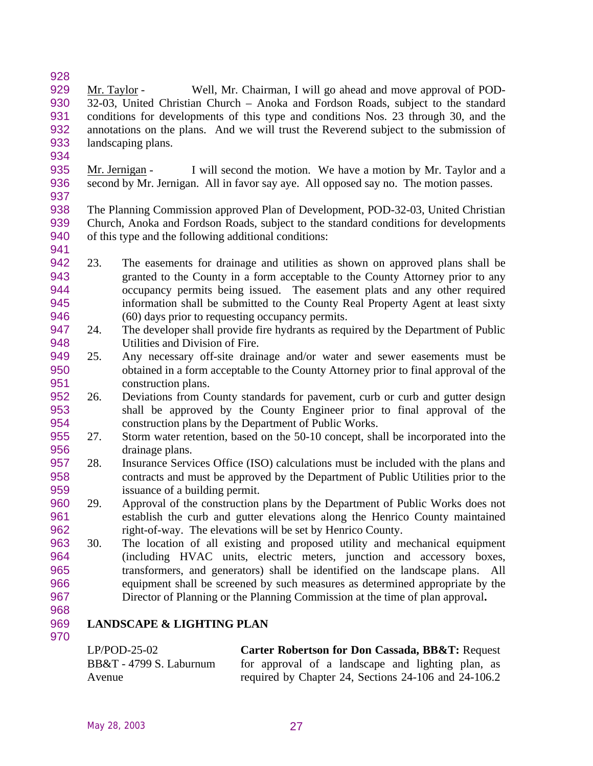- 929 Mr. Taylor - Well, Mr. Chairman, I will go ahead and move approval of POD-<br>930 32-03. United Christian Church – Anoka and Fordson Roads, subject to the standard 32-03, United Christian Church – Anoka and Fordson Roads, subject to the standard conditions for developments of this type and conditions Nos. 23 through 30, and the annotations on the plans. And we will trust the Reverend subject to the submission of landscaping plans.
- 935 Mr. Jernigan I will second the motion. We have a motion by Mr. Taylor and a second by Mr. Jernigan. All in favor say aye. All opposed say no. The motion passes.
- The Planning Commission approved Plan of Development, POD-32-03, United Christian Church, Anoka and Fordson Roads, subject to the standard conditions for developments of this type and the following additional conditions:
- 23. The easements for drainage and utilities as shown on approved plans shall be granted to the County in a form acceptable to the County Attorney prior to any occupancy permits being issued. The easement plats and any other required information shall be submitted to the County Real Property Agent at least sixty (60) days prior to requesting occupancy permits.
- 24. The developer shall provide fire hydrants as required by the Department of Public 948 Utilities and Division of Fire.
- 25. Any necessary off-site drainage and/or water and sewer easements must be obtained in a form acceptable to the County Attorney prior to final approval of the construction plans.
- 26. Deviations from County standards for pavement, curb or curb and gutter design shall be approved by the County Engineer prior to final approval of the construction plans by the Department of Public Works.
- 27. Storm water retention, based on the 50-10 concept, shall be incorporated into the drainage plans.
- 28. Insurance Services Office (ISO) calculations must be included with the plans and contracts and must be approved by the Department of Public Utilities prior to the issuance of a building permit.
- 29. Approval of the construction plans by the Department of Public Works does not establish the curb and gutter elevations along the Henrico County maintained right-of-way. The elevations will be set by Henrico County.
- 30. The location of all existing and proposed utility and mechanical equipment (including HVAC units, electric meters, junction and accessory boxes, transformers, and generators) shall be identified on the landscape plans. All equipment shall be screened by such measures as determined appropriate by the Director of Planning or the Planning Commission at the time of plan approval**.**
- 

# **LANDSCAPE & LIGHTING PLAN**

| $LP/POD-25-02$            | Carter Robertson for Don Cassada, BB&T: Request      |
|---------------------------|------------------------------------------------------|
| $BB&T - 4799 S.$ Laburnum | for approval of a landscape and lighting plan, as    |
| Avenue                    | required by Chapter 24, Sections 24-106 and 24-106.2 |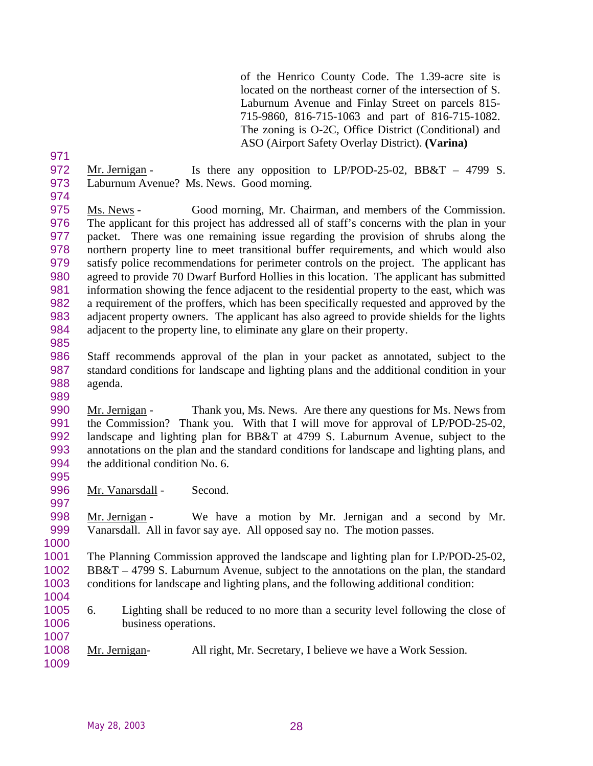of the Henrico County Code. The 1.39-acre site is located on the northeast corner of the intersection of S. Laburnum Avenue and Finlay Street on parcels 815- 715-9860, 816-715-1063 and part of 816-715-1082. The zoning is O-2C, Office District (Conditional) and ASO (Airport Safety Overlay District). **(Varina)**

- 972 Mr. Jernigan Is there any opposition to LP/POD-25-02, BB&T 4799 S. Laburnum Avenue? Ms. News. Good morning.
- 

 Ms. News - Good morning, Mr. Chairman, and members of the Commission. The applicant for this project has addressed all of staff's concerns with the plan in your packet. There was one remaining issue regarding the provision of shrubs along the northern property line to meet transitional buffer requirements, and which would also satisfy police recommendations for perimeter controls on the project. The applicant has agreed to provide 70 Dwarf Burford Hollies in this location. The applicant has submitted information showing the fence adjacent to the residential property to the east, which was a requirement of the proffers, which has been specifically requested and approved by the adjacent property owners. The applicant has also agreed to provide shields for the lights adjacent to the property line, to eliminate any glare on their property. 

- Staff recommends approval of the plan in your packet as annotated, subject to the standard conditions for landscape and lighting plans and the additional condition in your agenda.
- Mr. Jernigan Thank you, Ms. News. Are there any questions for Ms. News from the Commission? Thank you. With that I will move for approval of LP/POD-25-02, landscape and lighting plan for BB&T at 4799 S. Laburnum Avenue, subject to the annotations on the plan and the standard conditions for landscape and lighting plans, and 994 the additional condition No. 6.
- 996 Mr. Vanarsdall Second.

 Mr. Jernigan - We have a motion by Mr. Jernigan and a second by Mr. Vanarsdall. All in favor say aye. All opposed say no. The motion passes.

 The Planning Commission approved the landscape and lighting plan for LP/POD-25-02, BB&T – 4799 S. Laburnum Avenue, subject to the annotations on the plan, the standard conditions for landscape and lighting plans, and the following additional condition:

- 
- 6. Lighting shall be reduced to no more than a security level following the close of business operations.
- Mr. Jernigan- All right, Mr. Secretary, I believe we have a Work Session.
-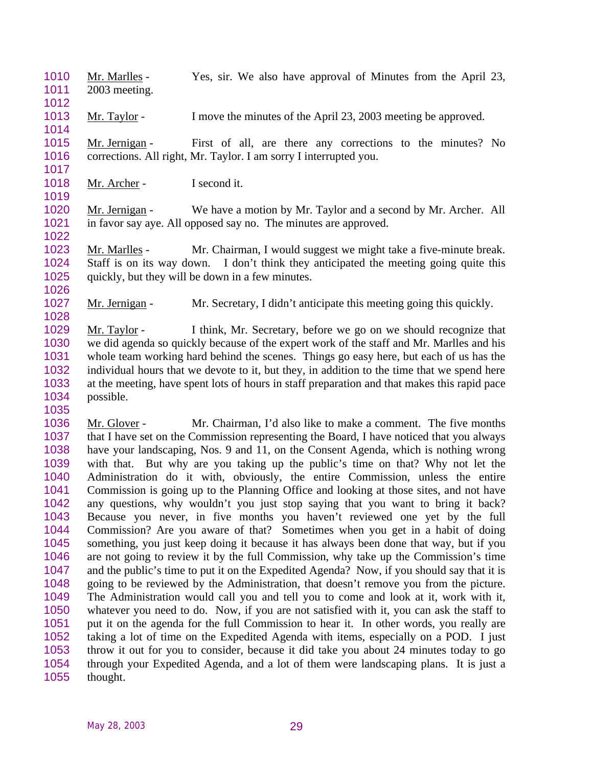- Mr. Marlles Yes, sir. We also have approval of Minutes from the April 23, 2003 meeting.
- 1013 Mr. Taylor I move the minutes of the April 23, 2003 meeting be approved.
- 1015 Mr. Jernigan First of all, are there any corrections to the minutes? No corrections. All right, Mr. Taylor. I am sorry I interrupted you.
- 1018 Mr. Archer I second it.

 Mr. Jernigan - We have a motion by Mr. Taylor and a second by Mr. Archer. All in favor say aye. All opposed say no. The minutes are approved.

 Mr. Marlles - Mr. Chairman, I would suggest we might take a five-minute break. Staff is on its way down. I don't think they anticipated the meeting going quite this quickly, but they will be down in a few minutes.

1027 Mr. Jernigan - Mr. Secretary, I didn't anticipate this meeting going this quickly.

 Mr. Taylor - I think, Mr. Secretary, before we go on we should recognize that we did agenda so quickly because of the expert work of the staff and Mr. Marlles and his whole team working hard behind the scenes. Things go easy here, but each of us has the individual hours that we devote to it, but they, in addition to the time that we spend here at the meeting, have spent lots of hours in staff preparation and that makes this rapid pace possible.

 Mr. Glover - Mr. Chairman, I'd also like to make a comment. The five months that I have set on the Commission representing the Board, I have noticed that you always have your landscaping, Nos. 9 and 11, on the Consent Agenda, which is nothing wrong with that. But why are you taking up the public's time on that? Why not let the Administration do it with, obviously, the entire Commission, unless the entire Commission is going up to the Planning Office and looking at those sites, and not have any questions, why wouldn't you just stop saying that you want to bring it back? Because you never, in five months you haven't reviewed one yet by the full Commission? Are you aware of that? Sometimes when you get in a habit of doing something, you just keep doing it because it has always been done that way, but if you 1046 are not going to review it by the full Commission, why take up the Commission's time<br>1047 and the public's time to put it on the Expedited Agenda? Now, if you should say that it is and the public's time to put it on the Expedited Agenda? Now, if you should say that it is going to be reviewed by the Administration, that doesn't remove you from the picture. The Administration would call you and tell you to come and look at it, work with it, whatever you need to do. Now, if you are not satisfied with it, you can ask the staff to put it on the agenda for the full Commission to hear it. In other words, you really are taking a lot of time on the Expedited Agenda with items, especially on a POD. I just throw it out for you to consider, because it did take you about 24 minutes today to go through your Expedited Agenda, and a lot of them were landscaping plans. It is just a thought.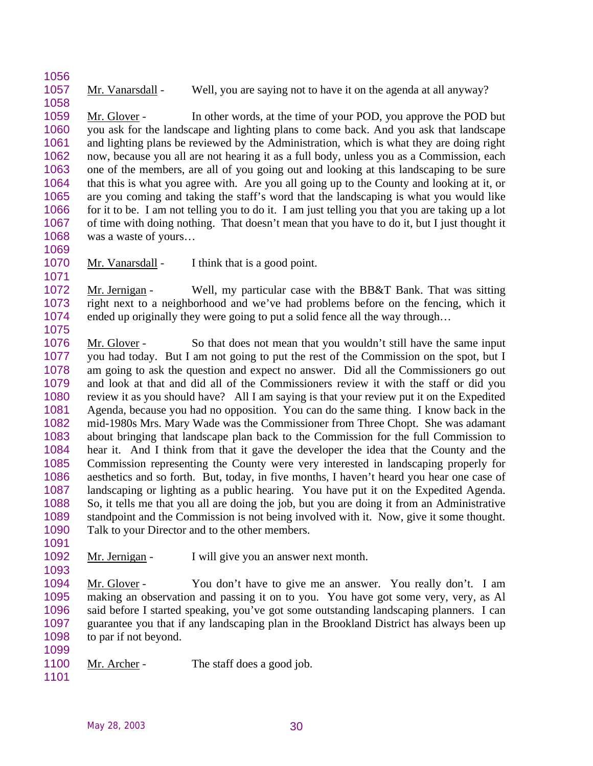1057 Mr. Vanarsdall - Well, you are saying not to have it on the agenda at all anyway?

 Mr. Glover - In other words, at the time of your POD, you approve the POD but you ask for the landscape and lighting plans to come back. And you ask that landscape and lighting plans be reviewed by the Administration, which is what they are doing right now, because you all are not hearing it as a full body, unless you as a Commission, each one of the members, are all of you going out and looking at this landscaping to be sure that this is what you agree with. Are you all going up to the County and looking at it, or are you coming and taking the staff's word that the landscaping is what you would like for it to be. I am not telling you to do it. I am just telling you that you are taking up a lot of time with doing nothing. That doesn't mean that you have to do it, but I just thought it was a waste of yours…

1070 Mr. Vanarsdall - I think that is a good point.

 Mr. Jernigan - Well, my particular case with the BB&T Bank. That was sitting right next to a neighborhood and we've had problems before on the fencing, which it ended up originally they were going to put a solid fence all the way through… 

- Mr. Glover So that does not mean that you wouldn't still have the same input you had today. But I am not going to put the rest of the Commission on the spot, but I am going to ask the question and expect no answer. Did all the Commissioners go out and look at that and did all of the Commissioners review it with the staff or did you review it as you should have? All I am saying is that your review put it on the Expedited Agenda, because you had no opposition. You can do the same thing. I know back in the mid-1980s Mrs. Mary Wade was the Commissioner from Three Chopt. She was adamant about bringing that landscape plan back to the Commission for the full Commission to hear it. And I think from that it gave the developer the idea that the County and the Commission representing the County were very interested in landscaping properly for aesthetics and so forth. But, today, in five months, I haven't heard you hear one case of landscaping or lighting as a public hearing. You have put it on the Expedited Agenda. So, it tells me that you all are doing the job, but you are doing it from an Administrative standpoint and the Commission is not being involved with it. Now, give it some thought. Talk to your Director and to the other members.
- 
- Mr. Jernigan I will give you an answer next month.

 Mr. Glover - You don't have to give me an answer. You really don't. I am making an observation and passing it on to you. You have got some very, very, as Al said before I started speaking, you've got some outstanding landscaping planners. I can guarantee you that if any landscaping plan in the Brookland District has always been up to par if not beyond.

- 1100 Mr. Archer The staff does a good job.
-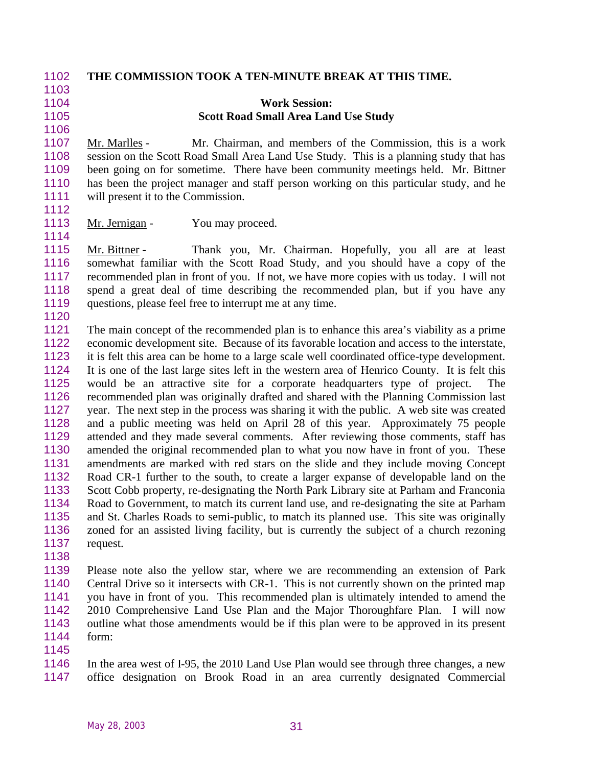| 1102 | THE COMMISSION TOOK A TEN-MINUTE BREAK AT THIS TIME.                                          |
|------|-----------------------------------------------------------------------------------------------|
| 1103 |                                                                                               |
| 1104 | <b>Work Session:</b>                                                                          |
| 1105 | <b>Scott Road Small Area Land Use Study</b>                                                   |
| 1106 |                                                                                               |
| 1107 | Mr. Chairman, and members of the Commission, this is a work<br>Mr. Marlles -                  |
| 1108 | session on the Scott Road Small Area Land Use Study. This is a planning study that has        |
| 1109 | been going on for sometime. There have been community meetings held. Mr. Bittner              |
| 1110 | has been the project manager and staff person working on this particular study, and he        |
| 1111 | will present it to the Commission.                                                            |
| 1112 |                                                                                               |
| 1113 | Mr. Jernigan -<br>You may proceed.                                                            |
| 1114 |                                                                                               |
| 1115 | Thank you, Mr. Chairman. Hopefully, you all are at least<br>Mr. Bittner -                     |
| 1116 | somewhat familiar with the Scott Road Study, and you should have a copy of the                |
| 1117 | recommended plan in front of you. If not, we have more copies with us today. I will not       |
| 1118 | spend a great deal of time describing the recommended plan, but if you have any               |
| 1119 | questions, please feel free to interrupt me at any time.                                      |
| 1120 |                                                                                               |
| 1121 | The main concept of the recommended plan is to enhance this area's viability as a prime       |
| 1122 | economic development site. Because of its favorable location and access to the interstate,    |
| 1123 | it is felt this area can be home to a large scale well coordinated office-type development.   |
| 1124 | It is one of the last large sites left in the western area of Henrico County. It is felt this |
| 1125 | would be an attractive site for a corporate headquarters type of project.<br>The              |
| 1126 | recommended plan was originally drafted and shared with the Planning Commission last          |
| 1127 | year. The next step in the process was sharing it with the public. A web site was created     |
| 1128 | and a public meeting was held on April 28 of this year. Approximately 75 people               |
| 1129 | attended and they made several comments. After reviewing those comments, staff has            |
| 1130 | amended the original recommended plan to what you now have in front of you. These             |
| 1131 | amendments are marked with red stars on the slide and they include moving Concept             |
| 1132 | Road CR-1 further to the south, to create a larger expanse of developable land on the         |
| 1133 | Scott Cobb property, re-designating the North Park Library site at Parham and Franconia       |
| 1134 | Road to Government, to match its current land use, and re-designating the site at Parham      |
| 1135 | and St. Charles Roads to semi-public, to match its planned use. This site was originally      |
| 1136 | zoned for an assisted living facility, but is currently the subject of a church rezoning      |
| 1137 | request.                                                                                      |
| 1138 |                                                                                               |
| 1139 | Please note also the yellow star, where we are recommending an extension of Park              |
| 1140 | Central Drive so it intersects with CR-1. This is not currently shown on the printed map      |
| 1141 | you have in front of you. This recommended plan is ultimately intended to amend the           |
| 1142 | 2010 Comprehensive Land Use Plan and the Major Thoroughfare Plan. I will now                  |
| 1143 | outline what those amendments would be if this plan were to be approved in its present        |
| 1144 | form:                                                                                         |
| 1145 |                                                                                               |

1146 In the area west of I-95, the 2010 Land Use Plan would see through three changes, a new office designation on Brook Road in an area currently designated Commercial office designation on Brook Road in an area currently designated Commercial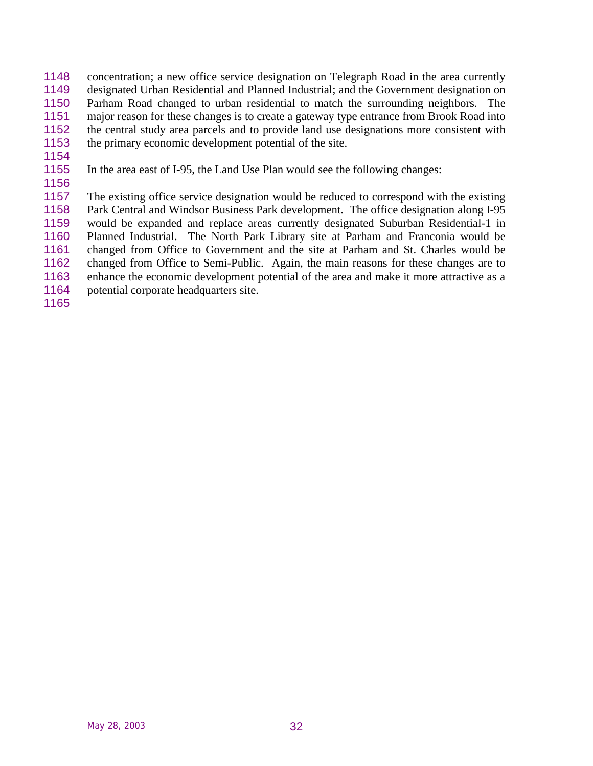- concentration; a new office service designation on Telegraph Road in the area currently designated Urban Residential and Planned Industrial; and the Government designation on Parham Road changed to urban residential to match the surrounding neighbors. The major reason for these changes is to create a gateway type entrance from Brook Road into the central study area parcels and to provide land use designations more consistent with the primary economic development potential of the site.
- In the area east of I-95, the Land Use Plan would see the following changes:
- 

 The existing office service designation would be reduced to correspond with the existing Park Central and Windsor Business Park development. The office designation along I-95 would be expanded and replace areas currently designated Suburban Residential-1 in Planned Industrial. The North Park Library site at Parham and Franconia would be changed from Office to Government and the site at Parham and St. Charles would be changed from Office to Semi-Public. Again, the main reasons for these changes are to enhance the economic development potential of the area and make it more attractive as a 1164 potential corporate headquarters site.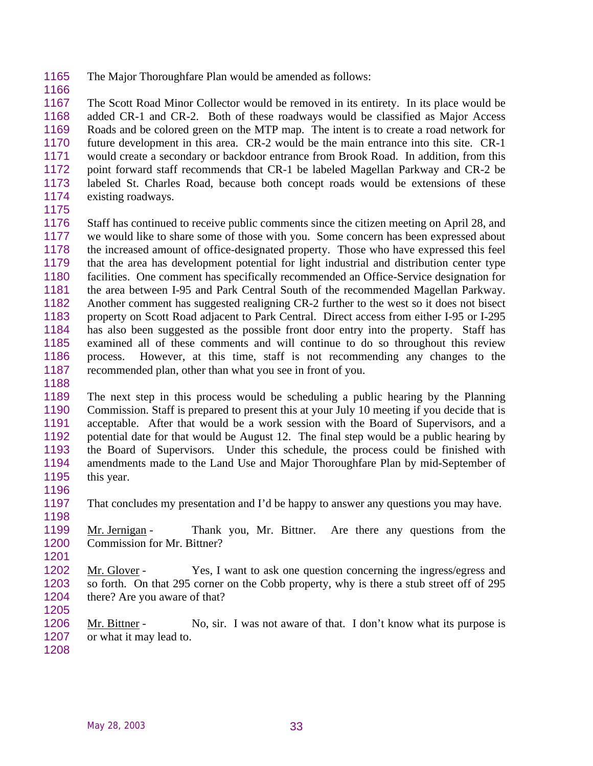- The Major Thoroughfare Plan would be amended as follows:
- 

 The Scott Road Minor Collector would be removed in its entirety. In its place would be added CR-1 and CR-2. Both of these roadways would be classified as Major Access Roads and be colored green on the MTP map. The intent is to create a road network for future development in this area. CR-2 would be the main entrance into this site. CR-1 would create a secondary or backdoor entrance from Brook Road. In addition, from this point forward staff recommends that CR-1 be labeled Magellan Parkway and CR-2 be labeled St. Charles Road, because both concept roads would be extensions of these existing roadways.

 Staff has continued to receive public comments since the citizen meeting on April 28, and we would like to share some of those with you. Some concern has been expressed about the increased amount of office-designated property. Those who have expressed this feel that the area has development potential for light industrial and distribution center type facilities. One comment has specifically recommended an Office-Service designation for the area between I-95 and Park Central South of the recommended Magellan Parkway. Another comment has suggested realigning CR-2 further to the west so it does not bisect property on Scott Road adjacent to Park Central. Direct access from either I-95 or I-295 has also been suggested as the possible front door entry into the property. Staff has examined all of these comments and will continue to do so throughout this review process. However, at this time, staff is not recommending any changes to the recommended plan, other than what you see in front of you.

 The next step in this process would be scheduling a public hearing by the Planning Commission. Staff is prepared to present this at your July 10 meeting if you decide that is acceptable. After that would be a work session with the Board of Supervisors, and a potential date for that would be August 12. The final step would be a public hearing by the Board of Supervisors. Under this schedule, the process could be finished with amendments made to the Land Use and Major Thoroughfare Plan by mid-September of this year. 

- That concludes my presentation and I'd be happy to answer any questions you may have.
- Mr. Jernigan Thank you, Mr. Bittner. Are there any questions from the Commission for Mr. Bittner?

 Mr. Glover - Yes, I want to ask one question concerning the ingress/egress and so forth. On that 295 corner on the Cobb property, why is there a stub street off of 295 there? Are you aware of that?

1206 Mr. Bittner - No, sir. I was not aware of that. I don't know what its purpose is 1207 or what it may lead to.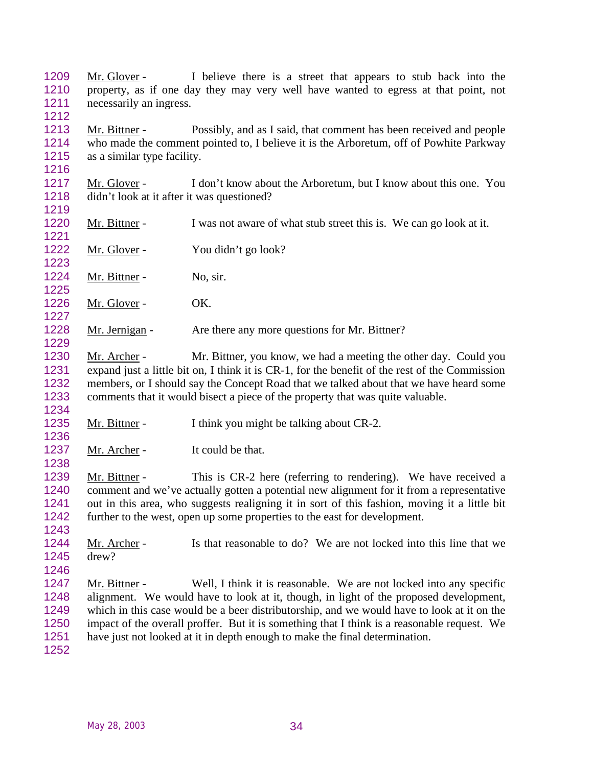Mr. Glover - I believe there is a street that appears to stub back into the property, as if one day they may very well have wanted to egress at that point, not necessarily an ingress.

 Mr. Bittner - Possibly, and as I said, that comment has been received and people who made the comment pointed to, I believe it is the Arboretum, off of Powhite Parkway as a similar type facility.

 Mr. Glover - I don't know about the Arboretum, but I know about this one. You didn't look at it after it was questioned?

1220 Mr. Bittner - I was not aware of what stub street this is. We can go look at it. 

1222 Mr. Glover - You didn't go look? 

1224 Mr. Bittner - No, sir. 

1226 Mr. Glover - OK.

1228 Mr. Jernigan - Are there any more questions for Mr. Bittner?

 Mr. Archer - Mr. Bittner, you know, we had a meeting the other day. Could you expand just a little bit on, I think it is CR-1, for the benefit of the rest of the Commission members, or I should say the Concept Road that we talked about that we have heard some comments that it would bisect a piece of the property that was quite valuable.

Mr. Bittner - I think you might be talking about CR-2.

1237 Mr. Archer - It could be that.

1239 Mr. Bittner - This is CR-2 here (referring to rendering). We have received a comment and we've actually gotten a potential new alignment for it from a representative out in this area, who suggests realigning it in sort of this fashion, moving it a little bit further to the west, open up some properties to the east for development.

 Mr. Archer - Is that reasonable to do? We are not locked into this line that we drew?

1247 Mr. Bittner - Well, I think it is reasonable. We are not locked into any specific alignment. We would have to look at it, though, in light of the proposed development, which in this case would be a beer distributorship, and we would have to look at it on the impact of the overall proffer. But it is something that I think is a reasonable request. We have just not looked at it in depth enough to make the final determination.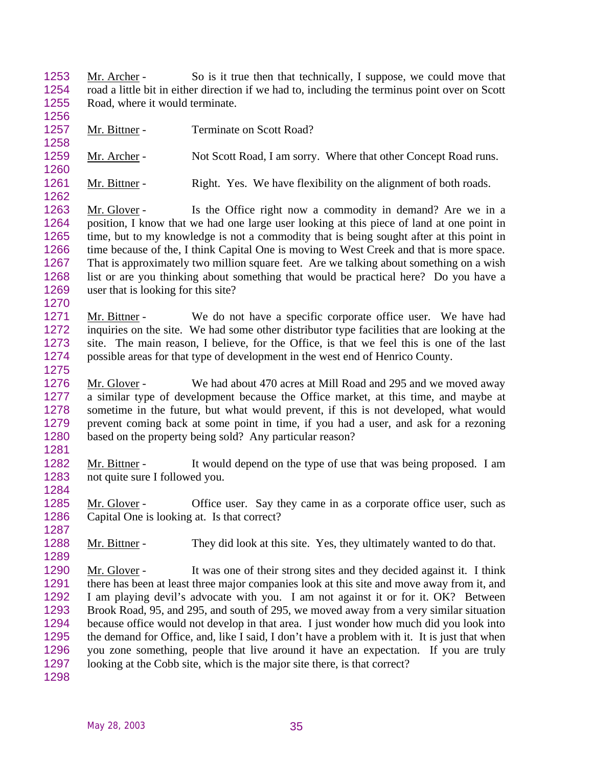Mr. Archer - So is it true then that technically, I suppose, we could move that road a little bit in either direction if we had to, including the terminus point over on Scott 1255 Road, where it would terminate.

- 1257 Mr. Bittner Terminate on Scott Road?
- 1259 Mr. Archer Not Scott Road, I am sorry. Where that other Concept Road runs.
- Mr. Bittner Right. Yes. We have flexibility on the alignment of both roads.
- Mr. Glover Is the Office right now a commodity in demand? Are we in a position, I know that we had one large user looking at this piece of land at one point in time, but to my knowledge is not a commodity that is being sought after at this point in 1266 time because of the, I think Capital One is moving to West Creek and that is more space. That is approximately two million square feet. Are we talking about something on a wish list or are you thinking about something that would be practical here? Do you have a user that is looking for this site?
- Mr. Bittner We do not have a specific corporate office user. We have had inquiries on the site. We had some other distributor type facilities that are looking at the site. The main reason, I believe, for the Office, is that we feel this is one of the last possible areas for that type of development in the west end of Henrico County.
- Mr. Glover We had about 470 acres at Mill Road and 295 and we moved away a similar type of development because the Office market, at this time, and maybe at sometime in the future, but what would prevent, if this is not developed, what would prevent coming back at some point in time, if you had a user, and ask for a rezoning based on the property being sold? Any particular reason?
- 

- Mr. Bittner It would depend on the type of use that was being proposed. I am not quite sure I followed you.
- 1285 Mr. Glover Office user. Say they came in as a corporate office user, such as Capital One is looking at. Is that correct?
- Mr. Bittner They did look at this site. Yes, they ultimately wanted to do that.
- Mr. Glover It was one of their strong sites and they decided against it. I think there has been at least three major companies look at this site and move away from it, and I am playing devil's advocate with you. I am not against it or for it. OK? Between Brook Road, 95, and 295, and south of 295, we moved away from a very similar situation because office would not develop in that area. I just wonder how much did you look into the demand for Office, and, like I said, I don't have a problem with it. It is just that when you zone something, people that live around it have an expectation. If you are truly looking at the Cobb site, which is the major site there, is that correct?
-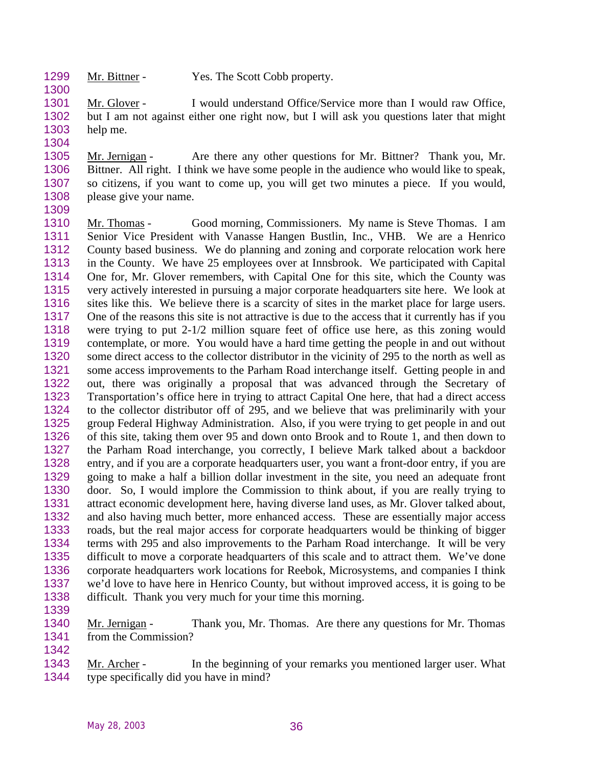1299 Mr. Bittner - Yes. The Scott Cobb property.

 Mr. Glover - I would understand Office/Service more than I would raw Office, but I am not against either one right now, but I will ask you questions later that might help me.

 Mr. Jernigan - Are there any other questions for Mr. Bittner? Thank you, Mr. Bittner. All right. I think we have some people in the audience who would like to speak, so citizens, if you want to come up, you will get two minutes a piece. If you would, please give your name.

1310 Mr. Thomas - Good morning, Commissioners. My name is Steve Thomas. I am Senior Vice President with Vanasse Hangen Bustlin, Inc., VHB. We are a Henrico County based business. We do planning and zoning and corporate relocation work here in the County. We have 25 employees over at Innsbrook. We participated with Capital One for, Mr. Glover remembers, with Capital One for this site, which the County was very actively interested in pursuing a major corporate headquarters site here. We look at sites like this. We believe there is a scarcity of sites in the market place for large users. One of the reasons this site is not attractive is due to the access that it currently has if you were trying to put 2-1/2 million square feet of office use here, as this zoning would contemplate, or more. You would have a hard time getting the people in and out without some direct access to the collector distributor in the vicinity of 295 to the north as well as some access improvements to the Parham Road interchange itself. Getting people in and out, there was originally a proposal that was advanced through the Secretary of Transportation's office here in trying to attract Capital One here, that had a direct access to the collector distributor off of 295, and we believe that was preliminarily with your group Federal Highway Administration. Also, if you were trying to get people in and out of this site, taking them over 95 and down onto Brook and to Route 1, and then down to the Parham Road interchange, you correctly, I believe Mark talked about a backdoor entry, and if you are a corporate headquarters user, you want a front-door entry, if you are going to make a half a billion dollar investment in the site, you need an adequate front 1330 door. So, I would implore the Commission to think about, if you are really trying to attract economic development here, having diverse land uses, as Mr. Glover talked about, attract economic development here, having diverse land uses, as Mr. Glover talked about, and also having much better, more enhanced access. These are essentially major access roads, but the real major access for corporate headquarters would be thinking of bigger terms with 295 and also improvements to the Parham Road interchange. It will be very difficult to move a corporate headquarters of this scale and to attract them. We've done corporate headquarters work locations for Reebok, Microsystems, and companies I think we'd love to have here in Henrico County, but without improved access, it is going to be difficult. Thank you very much for your time this morning.

1340 Mr. Jernigan - Thank you, Mr. Thomas. Are there any questions for Mr. Thomas from the Commission?

 Mr. Archer - In the beginning of your remarks you mentioned larger user. What type specifically did you have in mind?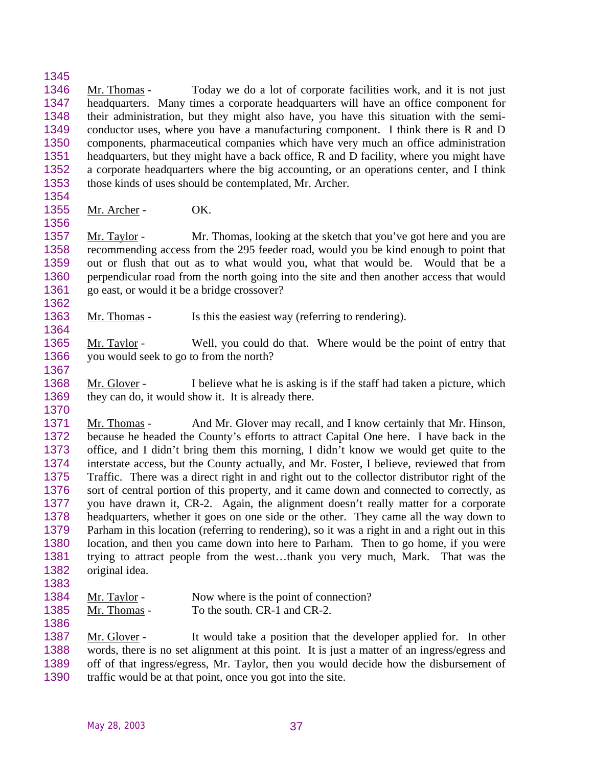Mr. Thomas - Today we do a lot of corporate facilities work, and it is not just headquarters. Many times a corporate headquarters will have an office component for their administration, but they might also have, you have this situation with the semi- conductor uses, where you have a manufacturing component. I think there is R and D components, pharmaceutical companies which have very much an office administration headquarters, but they might have a back office, R and D facility, where you might have a corporate headquarters where the big accounting, or an operations center, and I think those kinds of uses should be contemplated, Mr. Archer.

Mr. Archer - OK.

 Mr. Taylor - Mr. Thomas, looking at the sketch that you've got here and you are recommending access from the 295 feeder road, would you be kind enough to point that out or flush that out as to what would you, what that would be. Would that be a perpendicular road from the north going into the site and then another access that would go east, or would it be a bridge crossover?

- 1363 Mr. Thomas Is this the easiest way (referring to rendering).
- Mr. Taylor Well, you could do that. Where would be the point of entry that you would seek to go to from the north?
- 

 Mr. Glover - I believe what he is asking is if the staff had taken a picture, which 1369 they can do, it would show it. It is already there.

 Mr. Thomas - And Mr. Glover may recall, and I know certainly that Mr. Hinson, because he headed the County's efforts to attract Capital One here. I have back in the office, and I didn't bring them this morning, I didn't know we would get quite to the interstate access, but the County actually, and Mr. Foster, I believe, reviewed that from Traffic. There was a direct right in and right out to the collector distributor right of the sort of central portion of this property, and it came down and connected to correctly, as you have drawn it, CR-2. Again, the alignment doesn't really matter for a corporate headquarters, whether it goes on one side or the other. They came all the way down to Parham in this location (referring to rendering), so it was a right in and a right out in this location, and then you came down into here to Parham. Then to go home, if you were trying to attract people from the west…thank you very much, Mark. That was the original idea.

- 
- 1384 Mr. Taylor Now where is the point of connection?
- 1385 Mr. Thomas To the south. CR-1 and CR-2.

 Mr. Glover - It would take a position that the developer applied for. In other words, there is no set alignment at this point. It is just a matter of an ingress/egress and off of that ingress/egress, Mr. Taylor, then you would decide how the disbursement of

traffic would be at that point, once you got into the site.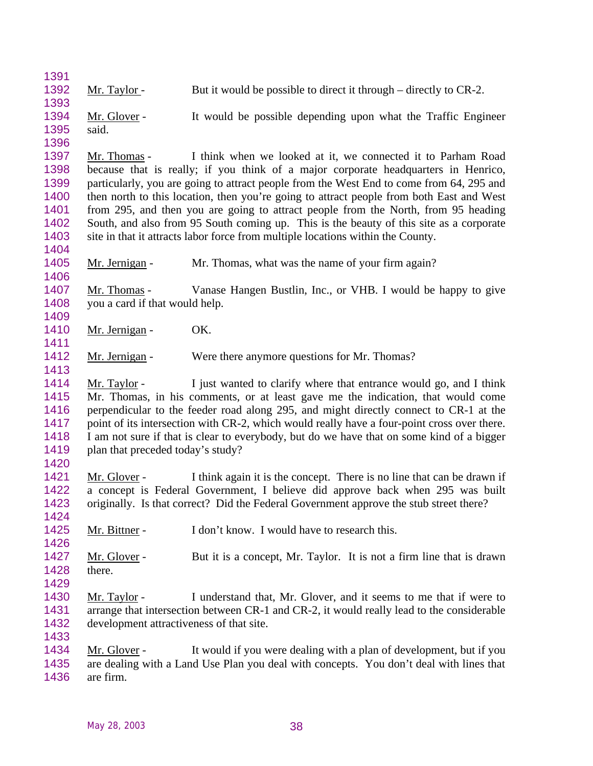- 1392 Mr. Taylor But it would be possible to direct it through directly to CR-2.
- 1394 Mr. Glover It would be possible depending upon what the Traffic Engineer said.
- Mr. Thomas I think when we looked at it, we connected it to Parham Road because that is really; if you think of a major corporate headquarters in Henrico, particularly, you are going to attract people from the West End to come from 64, 295 and 1400 then north to this location, then you're going to attract people from both East and West from 295, and then you are going to attract people from the North, from 95 heading South, and also from 95 South coming up. This is the beauty of this site as a corporate site in that it attracts labor force from multiple locations within the County.
- 1405 Mr. Jernigan Mr. Thomas, what was the name of your firm again?

 Mr. Thomas - Vanase Hangen Bustlin, Inc., or VHB. I would be happy to give you a card if that would help.

- 1410 Mr. Jernigan OK.
- 1412 Mr. Jernigan Were there anymore questions for Mr. Thomas?
- Mr. Taylor I just wanted to clarify where that entrance would go, and I think Mr. Thomas, in his comments, or at least gave me the indication, that would come perpendicular to the feeder road along 295, and might directly connect to CR-1 at the 1417 point of its intersection with CR-2, which would really have a four-point cross over there. I am not sure if that is clear to everybody, but do we have that on some kind of a bigger 1419 plan that preceded today's study?
- 

- 1421 Mr. Glover I think again it is the concept. There is no line that can be drawn if a concept is Federal Government, I believe did approve back when 295 was built originally. Is that correct? Did the Federal Government approve the stub street there?
- 1425 Mr. Bittner I don't know. I would have to research this.
- 1427 Mr. Glover But it is a concept, Mr. Taylor. It is not a firm line that is drawn there.
- 
- Mr. Taylor I understand that, Mr. Glover, and it seems to me that if were to 1431 arrange that intersection between CR-1 and CR-2, it would really lead to the considerable development attractiveness of that site.
- 
- Mr. Glover It would if you were dealing with a plan of development, but if you are dealing with a Land Use Plan you deal with concepts. You don't deal with lines that
- are firm.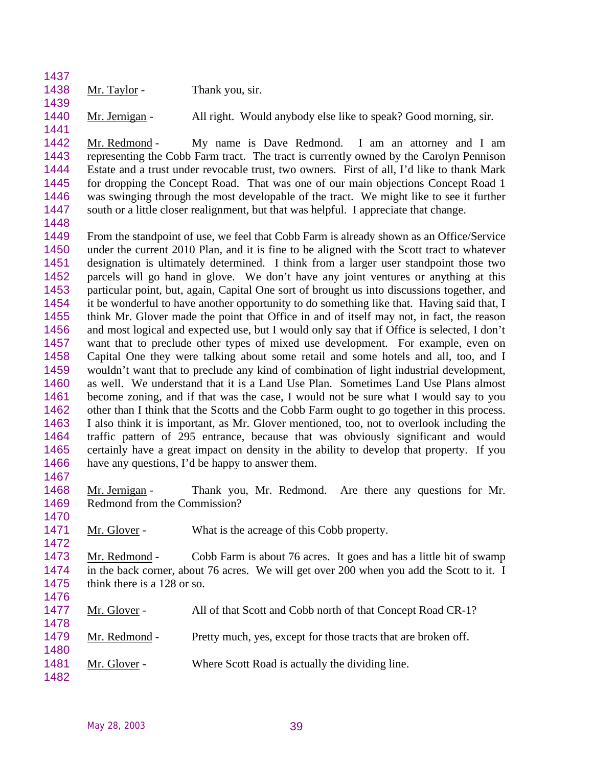1438 Mr. Taylor - Thank you, sir.

1440 Mr. Jernigan - All right. Would anybody else like to speak? Good morning, sir.

 Mr. Redmond - My name is Dave Redmond. I am an attorney and I am representing the Cobb Farm tract. The tract is currently owned by the Carolyn Pennison Estate and a trust under revocable trust, two owners. First of all, I'd like to thank Mark for dropping the Concept Road. That was one of our main objections Concept Road 1 was swinging through the most developable of the tract. We might like to see it further south or a little closer realignment, but that was helpful. I appreciate that change.

 From the standpoint of use, we feel that Cobb Farm is already shown as an Office/Service under the current 2010 Plan, and it is fine to be aligned with the Scott tract to whatever designation is ultimately determined. I think from a larger user standpoint those two parcels will go hand in glove. We don't have any joint ventures or anything at this particular point, but, again, Capital One sort of brought us into discussions together, and it be wonderful to have another opportunity to do something like that. Having said that, I think Mr. Glover made the point that Office in and of itself may not, in fact, the reason and most logical and expected use, but I would only say that if Office is selected, I don't want that to preclude other types of mixed use development. For example, even on Capital One they were talking about some retail and some hotels and all, too, and I wouldn't want that to preclude any kind of combination of light industrial development, as well. We understand that it is a Land Use Plan. Sometimes Land Use Plans almost become zoning, and if that was the case, I would not be sure what I would say to you other than I think that the Scotts and the Cobb Farm ought to go together in this process. I also think it is important, as Mr. Glover mentioned, too, not to overlook including the traffic pattern of 295 entrance, because that was obviously significant and would certainly have a great impact on density in the ability to develop that property. If you have any questions, I'd be happy to answer them. 

1468 Mr. Jernigan - Thank you, Mr. Redmond. Are there any questions for Mr. Redmond from the Commission?

1471 Mr. Glover - What is the acreage of this Cobb property.

 Mr. Redmond - Cobb Farm is about 76 acres. It goes and has a little bit of swamp in the back corner, about 76 acres. We will get over 200 when you add the Scott to it. I think there is a 128 or so. 

| 1477<br>1478 | Mr. Glover -  | All of that Scott and Cobb north of that Concept Road CR-1?    |
|--------------|---------------|----------------------------------------------------------------|
| 1479<br>1480 | Mr. Redmond - | Pretty much, yes, except for those tracts that are broken off. |
| 1481<br>1482 | Mr. Glover -  | Where Scott Road is actually the dividing line.                |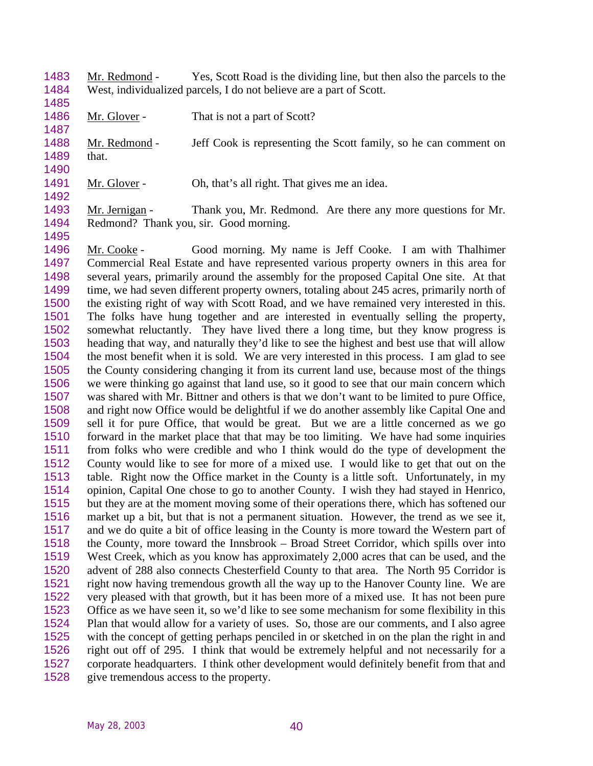Mr. Redmond - Yes, Scott Road is the dividing line, but then also the parcels to the West, individualized parcels, I do not believe are a part of Scott.

1486 Mr. Glover - That is not a part of Scott?

1488 Mr. Redmond - Jeff Cook is representing the Scott family, so he can comment on that. 

1491 Mr. Glover - Oh, that's all right. That gives me an idea.

1493 Mr. Jernigan - Thank you, Mr. Redmond. Are there any more questions for Mr. Redmond? Thank you, sir. Good morning. 

1496 Mr. Cooke - Good morning. My name is Jeff Cooke. I am with Thalhimer Commercial Real Estate and have represented various property owners in this area for several years, primarily around the assembly for the proposed Capital One site. At that 1499 time, we had seven different property owners, totaling about 245 acres, primarily north of the existing right of way with Scott Road, and we have remained very interested in this. The folks have hung together and are interested in eventually selling the property, somewhat reluctantly. They have lived there a long time, but they know progress is heading that way, and naturally they'd like to see the highest and best use that will allow the most benefit when it is sold. We are very interested in this process. I am glad to see the County considering changing it from its current land use, because most of the things we were thinking go against that land use, so it good to see that our main concern which was shared with Mr. Bittner and others is that we don't want to be limited to pure Office, and right now Office would be delightful if we do another assembly like Capital One and sell it for pure Office, that would be great. But we are a little concerned as we go forward in the market place that that may be too limiting. We have had some inquiries from folks who were credible and who I think would do the type of development the County would like to see for more of a mixed use. I would like to get that out on the table. Right now the Office market in the County is a little soft. Unfortunately, in my opinion, Capital One chose to go to another County. I wish they had stayed in Henrico, but they are at the moment moving some of their operations there, which has softened our market up a bit, but that is not a permanent situation. However, the trend as we see it, and we do quite a bit of office leasing in the County is more toward the Western part of the County, more toward the Innsbrook – Broad Street Corridor, which spills over into West Creek, which as you know has approximately 2,000 acres that can be used, and the advent of 288 also connects Chesterfield County to that area. The North 95 Corridor is right now having tremendous growth all the way up to the Hanover County line. We are very pleased with that growth, but it has been more of a mixed use. It has not been pure Office as we have seen it, so we'd like to see some mechanism for some flexibility in this Plan that would allow for a variety of uses. So, those are our comments, and I also agree with the concept of getting perhaps penciled in or sketched in on the plan the right in and right out off of 295. I think that would be extremely helpful and not necessarily for a corporate headquarters. I think other development would definitely benefit from that and give tremendous access to the property.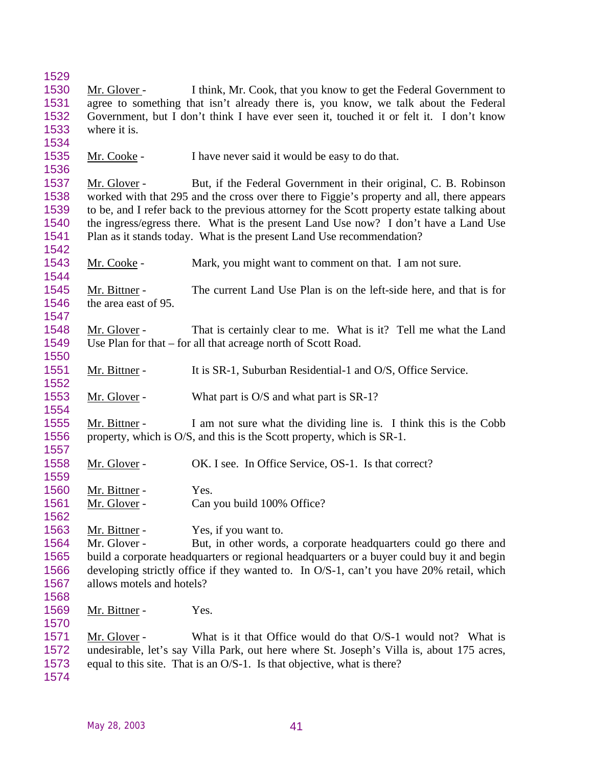| 1529 |                                                                                                                                                                      |                                                                                              |  |  |  |
|------|----------------------------------------------------------------------------------------------------------------------------------------------------------------------|----------------------------------------------------------------------------------------------|--|--|--|
| 1530 | Mr. Glover -                                                                                                                                                         | I think, Mr. Cook, that you know to get the Federal Government to                            |  |  |  |
| 1531 | agree to something that isn't already there is, you know, we talk about the Federal                                                                                  |                                                                                              |  |  |  |
| 1532 |                                                                                                                                                                      | Government, but I don't think I have ever seen it, touched it or felt it. I don't know       |  |  |  |
| 1533 | where it is.                                                                                                                                                         |                                                                                              |  |  |  |
| 1534 |                                                                                                                                                                      |                                                                                              |  |  |  |
| 1535 | Mr. Cooke -                                                                                                                                                          | I have never said it would be easy to do that.                                               |  |  |  |
| 1536 |                                                                                                                                                                      |                                                                                              |  |  |  |
| 1537 | Mr. Glover -                                                                                                                                                         | But, if the Federal Government in their original, C. B. Robinson                             |  |  |  |
| 1538 |                                                                                                                                                                      | worked with that 295 and the cross over there to Figgie's property and all, there appears    |  |  |  |
| 1539 |                                                                                                                                                                      | to be, and I refer back to the previous attorney for the Scott property estate talking about |  |  |  |
| 1540 |                                                                                                                                                                      | the ingress/egress there. What is the present Land Use now? I don't have a Land Use          |  |  |  |
| 1541 |                                                                                                                                                                      | Plan as it stands today. What is the present Land Use recommendation?                        |  |  |  |
| 1542 |                                                                                                                                                                      |                                                                                              |  |  |  |
| 1543 | Mr. Cooke -                                                                                                                                                          | Mark, you might want to comment on that. I am not sure.                                      |  |  |  |
| 1544 |                                                                                                                                                                      |                                                                                              |  |  |  |
| 1545 | Mr. Bittner -                                                                                                                                                        | The current Land Use Plan is on the left-side here, and that is for                          |  |  |  |
| 1546 | the area east of 95.                                                                                                                                                 |                                                                                              |  |  |  |
| 1547 |                                                                                                                                                                      |                                                                                              |  |  |  |
| 1548 | Mr. Glover -                                                                                                                                                         | That is certainly clear to me. What is it? Tell me what the Land                             |  |  |  |
| 1549 |                                                                                                                                                                      | Use Plan for that – for all that acreage north of Scott Road.                                |  |  |  |
| 1550 |                                                                                                                                                                      |                                                                                              |  |  |  |
| 1551 | Mr. Bittner -                                                                                                                                                        | It is SR-1, Suburban Residential-1 and O/S, Office Service.                                  |  |  |  |
| 1552 |                                                                                                                                                                      |                                                                                              |  |  |  |
| 1553 | Mr. Glover -                                                                                                                                                         | What part is O/S and what part is SR-1?                                                      |  |  |  |
| 1554 |                                                                                                                                                                      |                                                                                              |  |  |  |
| 1555 | Mr. Bittner -                                                                                                                                                        | I am not sure what the dividing line is. I think this is the Cobb                            |  |  |  |
| 1556 |                                                                                                                                                                      | property, which is O/S, and this is the Scott property, which is SR-1.                       |  |  |  |
| 1557 |                                                                                                                                                                      |                                                                                              |  |  |  |
| 1558 | Mr. Glover -                                                                                                                                                         | OK. I see. In Office Service, OS-1. Is that correct?                                         |  |  |  |
| 1559 |                                                                                                                                                                      |                                                                                              |  |  |  |
| 1560 | Mr. Bittner -                                                                                                                                                        | Yes.                                                                                         |  |  |  |
| 1561 | Mr. Glover -                                                                                                                                                         | Can you build 100% Office?                                                                   |  |  |  |
| 1562 |                                                                                                                                                                      |                                                                                              |  |  |  |
| 1563 | Mr. Bittner -                                                                                                                                                        | Yes, if you want to.                                                                         |  |  |  |
| 1564 | Mr. Glover -                                                                                                                                                         | But, in other words, a corporate headquarters could go there and                             |  |  |  |
| 1565 |                                                                                                                                                                      | build a corporate headquarters or regional headquarters or a buyer could buy it and begin    |  |  |  |
| 1566 |                                                                                                                                                                      | developing strictly office if they wanted to. In O/S-1, can't you have 20% retail, which     |  |  |  |
| 1567 | allows motels and hotels?                                                                                                                                            |                                                                                              |  |  |  |
| 1568 |                                                                                                                                                                      |                                                                                              |  |  |  |
| 1569 |                                                                                                                                                                      | Yes.                                                                                         |  |  |  |
| 1570 | Mr. Bittner -                                                                                                                                                        |                                                                                              |  |  |  |
| 1571 |                                                                                                                                                                      |                                                                                              |  |  |  |
| 1572 | Mr. Glover -                                                                                                                                                         | What is it that Office would do that O/S-1 would not? What is                                |  |  |  |
| 1573 | undesirable, let's say Villa Park, out here where St. Joseph's Villa is, about 175 acres,<br>equal to this site. That is an O/S-1. Is that objective, what is there? |                                                                                              |  |  |  |
|      |                                                                                                                                                                      |                                                                                              |  |  |  |
| 1574 |                                                                                                                                                                      |                                                                                              |  |  |  |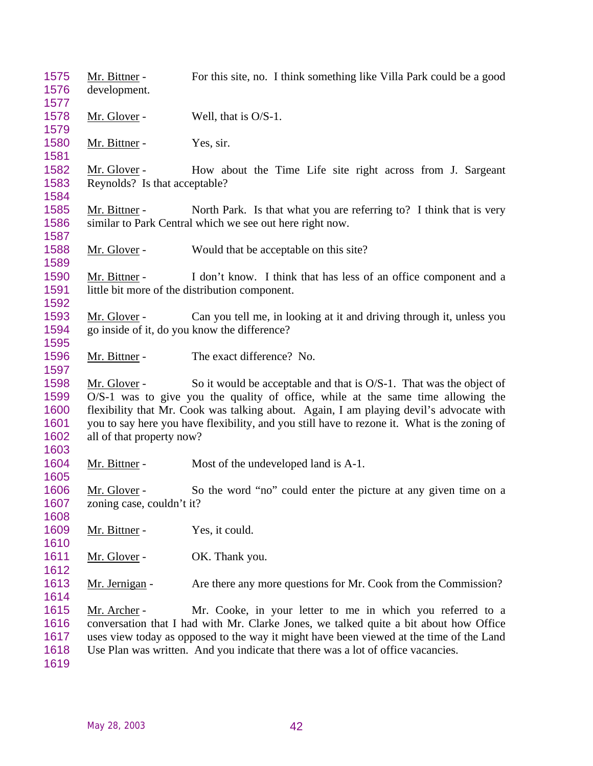1575 Mr. Bittner - For this site, no. I think something like Villa Park could be a good development. 1578 Mr. Glover - Well, that is O/S-1. 1580 Mr. Bittner - Yes, sir. Mr. Glover - How about the Time Life site right across from J. Sargeant Reynolds? Is that acceptable? 1585 Mr. Bittner - North Park. Is that what you are referring to? I think that is very similar to Park Central which we see out here right now. 1588 Mr. Glover - Would that be acceptable on this site? Mr. Bittner - I don't know. I think that has less of an office component and a little bit more of the distribution component. 1593 Mr. Glover - Can you tell me, in looking at it and driving through it, unless you go inside of it, do you know the difference? Mr. Bittner - The exact difference? No. Mr. Glover - So it would be acceptable and that is O/S-1. That was the object of O/S-1 was to give you the quality of office, while at the same time allowing the flexibility that Mr. Cook was talking about. Again, I am playing devil's advocate with you to say here you have flexibility, and you still have to rezone it. What is the zoning of all of that property now? 1604 Mr. Bittner - Most of the undeveloped land is A-1. Mr. Glover - So the word "no" could enter the picture at any given time on a zoning case, couldn't it? 1609 Mr. Bittner - Yes, it could. 1611 Mr. Glover - OK. Thank you. 1613 Mr. Jernigan - Are there any more questions for Mr. Cook from the Commission? 1615 Mr. Archer - Mr. Cooke, in your letter to me in which you referred to a conversation that I had with Mr. Clarke Jones, we talked quite a bit about how Office uses view today as opposed to the way it might have been viewed at the time of the Land Use Plan was written. And you indicate that there was a lot of office vacancies.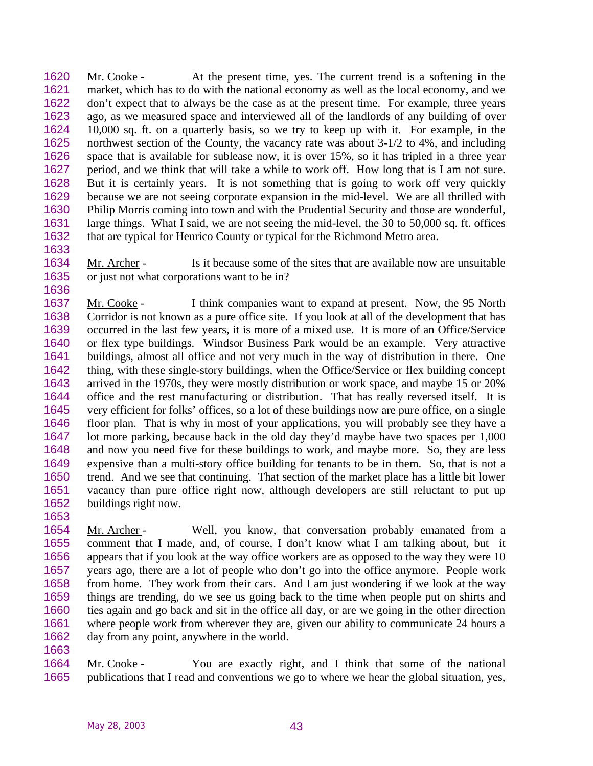Mr. Cooke - At the present time, yes. The current trend is a softening in the market, which has to do with the national economy as well as the local economy, and we don't expect that to always be the case as at the present time. For example, three years ago, as we measured space and interviewed all of the landlords of any building of over 10,000 sq. ft. on a quarterly basis, so we try to keep up with it. For example, in the northwest section of the County, the vacancy rate was about 3-1/2 to 4%, and including space that is available for sublease now, it is over 15%, so it has tripled in a three year period, and we think that will take a while to work off. How long that is I am not sure. But it is certainly years. It is not something that is going to work off very quickly because we are not seeing corporate expansion in the mid-level. We are all thrilled with Philip Morris coming into town and with the Prudential Security and those are wonderful, large things. What I said, we are not seeing the mid-level, the 30 to 50,000 sq. ft. offices that are typical for Henrico County or typical for the Richmond Metro area.

 Mr. Archer - Is it because some of the sites that are available now are unsuitable or just not what corporations want to be in?

 Mr. Cooke - I think companies want to expand at present. Now, the 95 North Corridor is not known as a pure office site. If you look at all of the development that has occurred in the last few years, it is more of a mixed use. It is more of an Office/Service or flex type buildings. Windsor Business Park would be an example. Very attractive buildings, almost all office and not very much in the way of distribution in there. One thing, with these single-story buildings, when the Office/Service or flex building concept arrived in the 1970s, they were mostly distribution or work space, and maybe 15 or 20% office and the rest manufacturing or distribution. That has really reversed itself. It is very efficient for folks' offices, so a lot of these buildings now are pure office, on a single floor plan. That is why in most of your applications, you will probably see they have a lot more parking, because back in the old day they'd maybe have two spaces per 1,000 and now you need five for these buildings to work, and maybe more. So, they are less expensive than a multi-story office building for tenants to be in them. So, that is not a trend. And we see that continuing. That section of the market place has a little bit lower vacancy than pure office right now, although developers are still reluctant to put up buildings right now.

1654 Mr. Archer - Well, you know, that conversation probably emanated from a comment that I made, and, of course, I don't know what I am talking about, but it appears that if you look at the way office workers are as opposed to the way they were 10 years ago, there are a lot of people who don't go into the office anymore. People work from home. They work from their cars. And I am just wondering if we look at the way things are trending, do we see us going back to the time when people put on shirts and ties again and go back and sit in the office all day, or are we going in the other direction where people work from wherever they are, given our ability to communicate 24 hours a day from any point, anywhere in the world.

 Mr. Cooke - You are exactly right, and I think that some of the national publications that I read and conventions we go to where we hear the global situation, yes,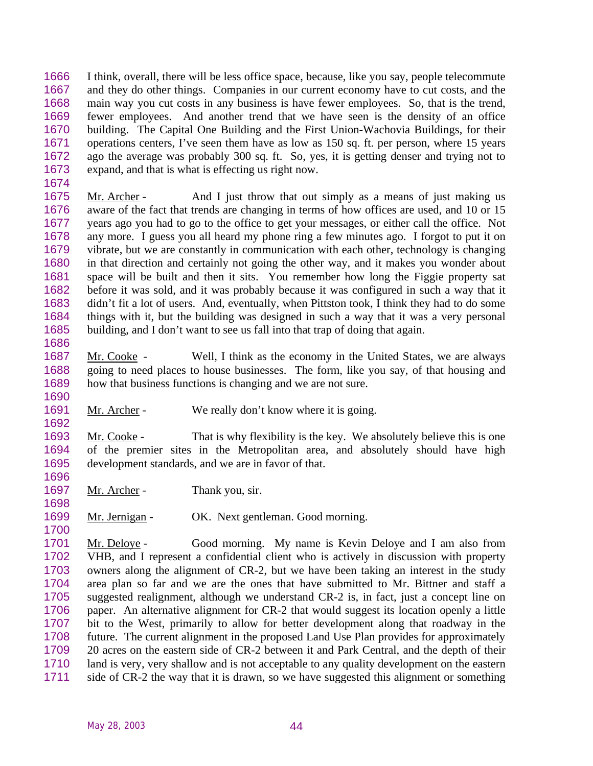I think, overall, there will be less office space, because, like you say, people telecommute and they do other things. Companies in our current economy have to cut costs, and the main way you cut costs in any business is have fewer employees. So, that is the trend, fewer employees. And another trend that we have seen is the density of an office building. The Capital One Building and the First Union-Wachovia Buildings, for their operations centers, I've seen them have as low as 150 sq. ft. per person, where 15 years ago the average was probably 300 sq. ft. So, yes, it is getting denser and trying not to expand, and that is what is effecting us right now.

 Mr. Archer - And I just throw that out simply as a means of just making us aware of the fact that trends are changing in terms of how offices are used, and 10 or 15 years ago you had to go to the office to get your messages, or either call the office. Not any more. I guess you all heard my phone ring a few minutes ago. I forgot to put it on vibrate, but we are constantly in communication with each other, technology is changing in that direction and certainly not going the other way, and it makes you wonder about space will be built and then it sits. You remember how long the Figgie property sat before it was sold, and it was probably because it was configured in such a way that it didn't fit a lot of users. And, eventually, when Pittston took, I think they had to do some things with it, but the building was designed in such a way that it was a very personal building, and I don't want to see us fall into that trap of doing that again.

- Mr. Cooke Well, I think as the economy in the United States, we are always going to need places to house businesses. The form, like you say, of that housing and how that business functions is changing and we are not sure.
- 1691 Mr. Archer We really don't know where it is going.

 Mr. Cooke - That is why flexibility is the key. We absolutely believe this is one of the premier sites in the Metropolitan area, and absolutely should have high development standards, and we are in favor of that.

- 1697 Mr. Archer Thank you, sir.
- Mr. Jernigan OK. Next gentleman. Good morning.

 Mr. Deloye - Good morning. My name is Kevin Deloye and I am also from VHB, and I represent a confidential client who is actively in discussion with property owners along the alignment of CR-2, but we have been taking an interest in the study area plan so far and we are the ones that have submitted to Mr. Bittner and staff a suggested realignment, although we understand CR-2 is, in fact, just a concept line on paper. An alternative alignment for CR-2 that would suggest its location openly a little bit to the West, primarily to allow for better development along that roadway in the future. The current alignment in the proposed Land Use Plan provides for approximately 20 acres on the eastern side of CR-2 between it and Park Central, and the depth of their land is very, very shallow and is not acceptable to any quality development on the eastern side of CR-2 the way that it is drawn, so we have suggested this alignment or something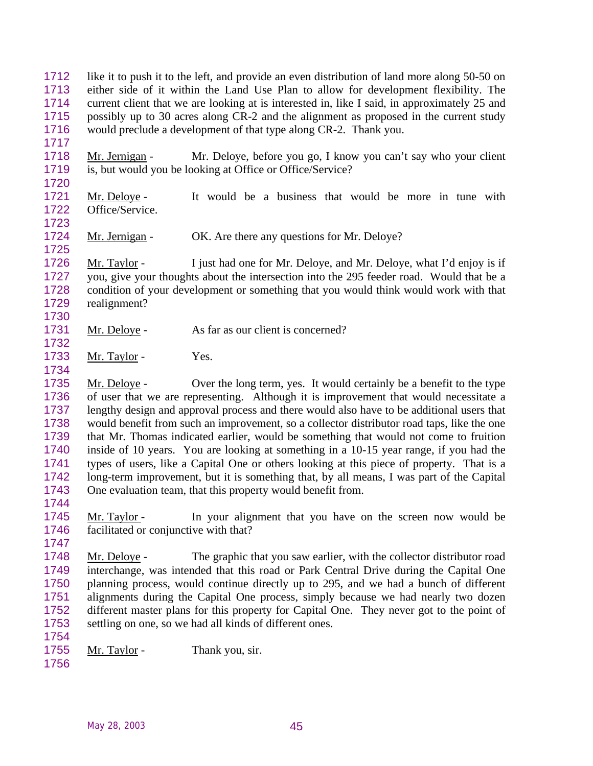like it to push it to the left, and provide an even distribution of land more along 50-50 on either side of it within the Land Use Plan to allow for development flexibility. The current client that we are looking at is interested in, like I said, in approximately 25 and possibly up to 30 acres along CR-2 and the alignment as proposed in the current study would preclude a development of that type along CR-2. Thank you.

 Mr. Jernigan - Mr. Deloye, before you go, I know you can't say who your client is, but would you be looking at Office or Office/Service?

- Mr. Deloye It would be a business that would be more in tune with Office/Service.
- 1724 Mr. Jernigan OK. Are there any questions for Mr. Deloye?

 Mr. Taylor - I just had one for Mr. Deloye, and Mr. Deloye, what I'd enjoy is if you, give your thoughts about the intersection into the 295 feeder road. Would that be a condition of your development or something that you would think would work with that realignment?

- 1731 Mr. Deloye As far as our client is concerned?
- 1733 Mr. Taylor Yes.

 Mr. Deloye - Over the long term, yes. It would certainly be a benefit to the type of user that we are representing. Although it is improvement that would necessitate a lengthy design and approval process and there would also have to be additional users that would benefit from such an improvement, so a collector distributor road taps, like the one that Mr. Thomas indicated earlier, would be something that would not come to fruition inside of 10 years. You are looking at something in a 10-15 year range, if you had the types of users, like a Capital One or others looking at this piece of property. That is a long-term improvement, but it is something that, by all means, I was part of the Capital One evaluation team, that this property would benefit from.

 Mr. Taylor - In your alignment that you have on the screen now would be facilitated or conjunctive with that?

 Mr. Deloye - The graphic that you saw earlier, with the collector distributor road interchange, was intended that this road or Park Central Drive during the Capital One planning process, would continue directly up to 295, and we had a bunch of different alignments during the Capital One process, simply because we had nearly two dozen different master plans for this property for Capital One. They never got to the point of settling on one, so we had all kinds of different ones.

- 1755 Mr. Taylor Thank you, sir.
-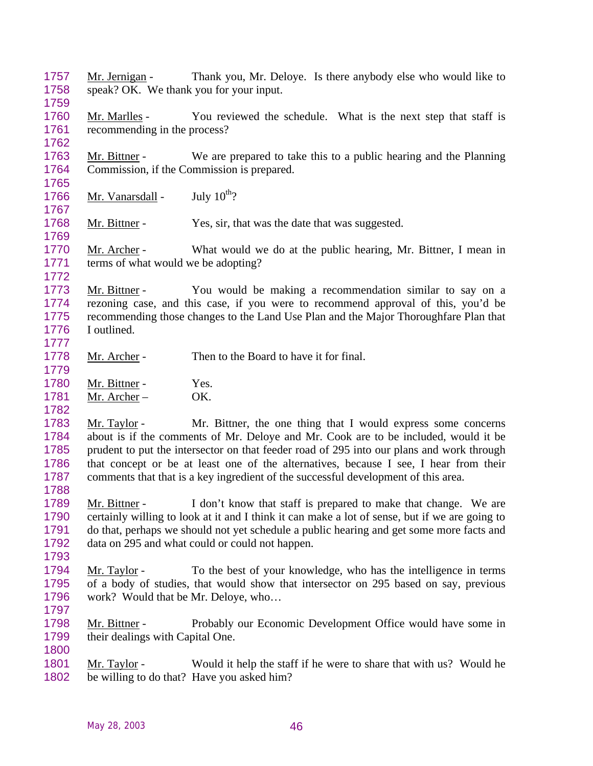- Mr. Jernigan Thank you, Mr. Deloye. Is there anybody else who would like to speak? OK. We thank you for your input.
- 1760 Mr. Marlles You reviewed the schedule. What is the next step that staff is recommending in the process?
- Mr. Bittner We are prepared to take this to a public hearing and the Planning Commission, if the Commission is prepared.
- 1766 Mr. Vanarsdall July  $10^{th}$ ?

- 1768 Mr. Bittner Yes, sir, that was the date that was suggested.
- 1770 Mr. Archer What would we do at the public hearing, Mr. Bittner, I mean in terms of what would we be adopting?
- Mr. Bittner You would be making a recommendation similar to say on a rezoning case, and this case, if you were to recommend approval of this, you'd be recommending those changes to the Land Use Plan and the Major Thoroughfare Plan that I outlined.
- Mr. Archer Then to the Board to have it for final.
- 1780 Mr. Bittner Yes. Mr. Archer – OK.
- Mr. Taylor - Mr. Bittner, the one thing that I would express some concerns about is if the comments of Mr. Deloye and Mr. Cook are to be included, would it be prudent to put the intersector on that feeder road of 295 into our plans and work through that concept or be at least one of the alternatives, because I see, I hear from their comments that that is a key ingredient of the successful development of this area.
- Mr. Bittner I don't know that staff is prepared to make that change. We are certainly willing to look at it and I think it can make a lot of sense, but if we are going to do that, perhaps we should not yet schedule a public hearing and get some more facts and data on 295 and what could or could not happen.
- Mr. Taylor To the best of your knowledge, who has the intelligence in terms of a body of studies, that would show that intersector on 295 based on say, previous work? Would that be Mr. Deloye, who…
- 

 Mr. Bittner - Probably our Economic Development Office would have some in 1799 their dealings with Capital One.

 Mr. Taylor - Would it help the staff if he were to share that with us? Would he be willing to do that? Have you asked him?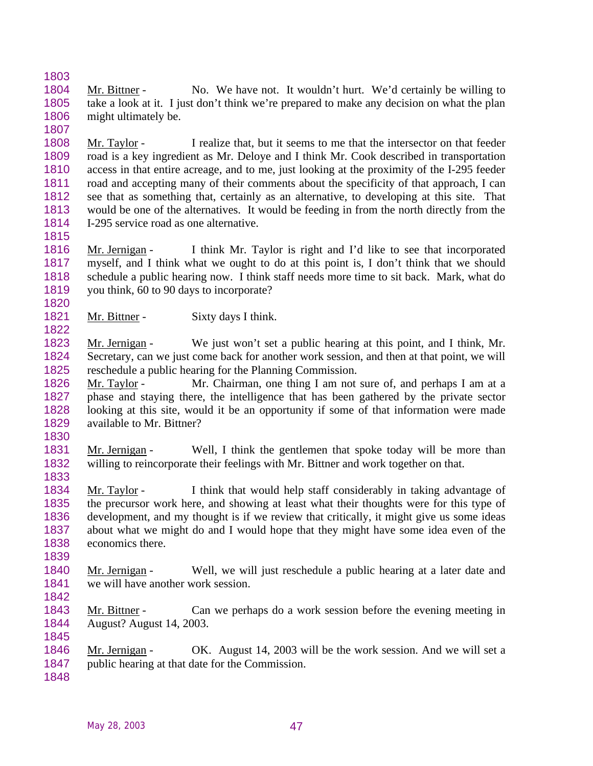Mr. Bittner - No. We have not. It wouldn't hurt. We'd certainly be willing to take a look at it. I just don't think we're prepared to make any decision on what the plan 1806 might ultimately be.

 Mr. Taylor - I realize that, but it seems to me that the intersector on that feeder road is a key ingredient as Mr. Deloye and I think Mr. Cook described in transportation access in that entire acreage, and to me, just looking at the proximity of the I-295 feeder road and accepting many of their comments about the specificity of that approach, I can see that as something that, certainly as an alternative, to developing at this site. That would be one of the alternatives. It would be feeding in from the north directly from the I-295 service road as one alternative.

 Mr. Jernigan - I think Mr. Taylor is right and I'd like to see that incorporated myself, and I think what we ought to do at this point is, I don't think that we should schedule a public hearing now. I think staff needs more time to sit back. Mark, what do you think, 60 to 90 days to incorporate?

1821 Mr. Bittner - Sixty days I think.

 Mr. Jernigan - We just won't set a public hearing at this point, and I think, Mr. Secretary, can we just come back for another work session, and then at that point, we will reschedule a public hearing for the Planning Commission.

 Mr. Taylor - Mr. Chairman, one thing I am not sure of, and perhaps I am at a phase and staying there, the intelligence that has been gathered by the private sector looking at this site, would it be an opportunity if some of that information were made 1829 available to Mr. Bittner?

1831 Mr. Jernigan - Well, I think the gentlemen that spoke today will be more than willing to reincorporate their feelings with Mr. Bittner and work together on that. 

 Mr. Taylor - I think that would help staff considerably in taking advantage of the precursor work here, and showing at least what their thoughts were for this type of development, and my thought is if we review that critically, it might give us some ideas about what we might do and I would hope that they might have some idea even of the economics there.

 Mr. Jernigan - Well, we will just reschedule a public hearing at a later date and we will have another work session.

 Mr. Bittner - Can we perhaps do a work session before the evening meeting in August? August 14, 2003. 

 Mr. Jernigan - OK. August 14, 2003 will be the work session. And we will set a public hearing at that date for the Commission.